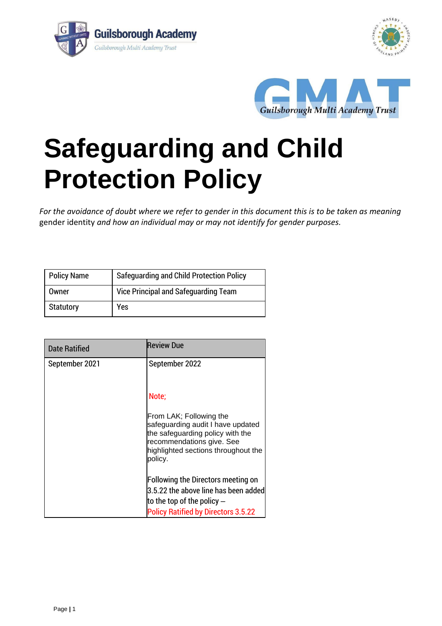





# **Safeguarding and Child Protection Policy**

*For the avoidance of doubt where we refer to gender in this document this is to be taken as meaning*  gender identity *and how an individual may or may not identify for gender purposes.*

| <b>Policy Name</b> | <b>Safequarding and Child Protection Policy</b> |
|--------------------|-------------------------------------------------|
| Owner              | Vice Principal and Safeguarding Team            |
| <b>Statutory</b>   | Yes                                             |

| <b>Date Ratified</b> | <b>Review Due</b>                                                                                                                                                               |  |
|----------------------|---------------------------------------------------------------------------------------------------------------------------------------------------------------------------------|--|
| September 2021       | September 2022                                                                                                                                                                  |  |
|                      | Note;                                                                                                                                                                           |  |
|                      | From LAK; Following the<br>safeguarding audit I have updated<br>the safeguarding policy with the<br>recommendations give. See<br>highlighted sections throughout the<br>policy. |  |
|                      | <b>Following the Directors meeting on</b><br>3.5.22 the above line has been added<br>to the top of the policy $-$                                                               |  |
|                      | <b>Policy Ratified by Directors 3.5.22</b>                                                                                                                                      |  |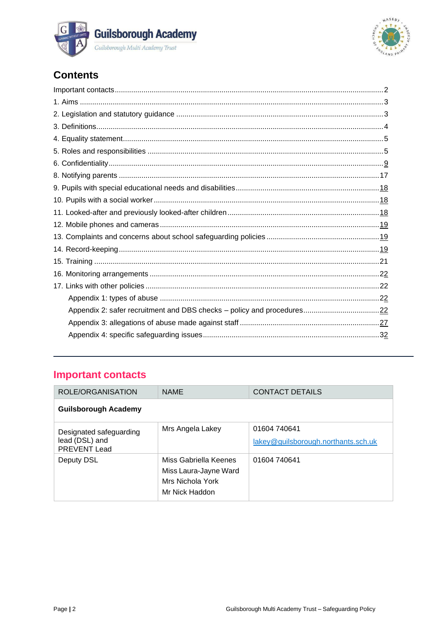



# **Contents**

| Appendix 2: safer recruitment and DBS checks - policy and procedures22 |  |
|------------------------------------------------------------------------|--|
|                                                                        |  |
|                                                                        |  |
|                                                                        |  |

# <span id="page-1-0"></span>**Important contacts**

| ROLE/ORGANISATION                                         | <b>NAME</b>                                                                          | <b>CONTACT DETAILS</b>                              |  |  |  |
|-----------------------------------------------------------|--------------------------------------------------------------------------------------|-----------------------------------------------------|--|--|--|
| <b>Guilsborough Academy</b>                               |                                                                                      |                                                     |  |  |  |
| Designated safeguarding<br>lead (DSL) and<br>PREVENT Lead | Mrs Angela Lakey                                                                     | 01604 740641<br>lakey@guilsborough.northants.sch.uk |  |  |  |
| Deputy DSL                                                | Miss Gabriella Keenes<br>Miss Laura-Jayne Ward<br>Mrs Nichola York<br>Mr Nick Haddon | 01604 740641                                        |  |  |  |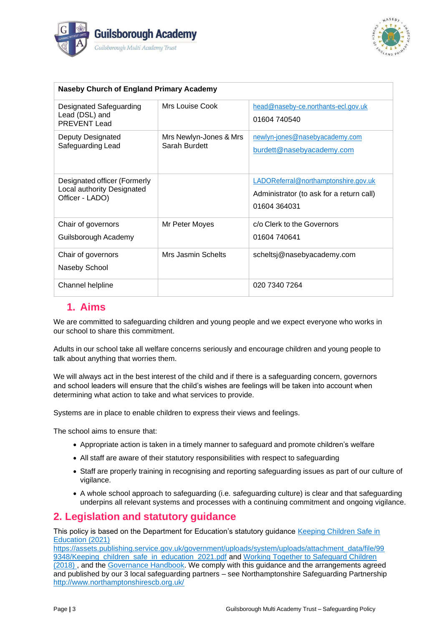



| <b>Naseby Church of England Primary Academy</b>                               |                        |                                          |  |  |
|-------------------------------------------------------------------------------|------------------------|------------------------------------------|--|--|
| Designated Safeguarding<br>Lead (DSL) and<br><b>PREVENT Lead</b>              | Mrs Louise Cook        | head@naseby-ce.northants-ecl.gov.uk      |  |  |
|                                                                               |                        | 01604 740540                             |  |  |
| Deputy Designated                                                             | Mrs Newlyn-Jones & Mrs | newlyn-jones@nasebyacademy.com           |  |  |
| Safeguarding Lead                                                             | Sarah Burdett          | burdett@nasebyacademy.com                |  |  |
| Designated officer (Formerly<br>Local authority Designated<br>Officer - LADO) |                        | LADOReferral@northamptonshire.gov.uk     |  |  |
|                                                                               |                        | Administrator (to ask for a return call) |  |  |
|                                                                               |                        | 01604 364031                             |  |  |
| Chair of governors                                                            | Mr Peter Moyes         | c/o Clerk to the Governors               |  |  |
| Guilsborough Academy                                                          |                        | 01604 740641                             |  |  |
| Chair of governors                                                            | Mrs Jasmin Schelts     | scheltsj@nasebyacademy.com               |  |  |
| Naseby School                                                                 |                        |                                          |  |  |
| Channel helpline                                                              |                        | 020 7340 7264                            |  |  |

# **1. Aims**

<span id="page-2-0"></span>We are committed to safeguarding children and young people and we expect everyone who works in our school to share this commitment.

Adults in our school take all welfare concerns seriously and encourage children and young people to talk about anything that worries them.

We will always act in the best interest of the child and if there is a safeguarding concern, governors and school leaders will ensure that the child's wishes are feelings will be taken into account when determining what action to take and what services to provide.

Systems are in place to enable children to express their views and feelings.

The school aims to ensure that:

- Appropriate action is taken in a timely manner to safeguard and promote children's welfare
- All staff are aware of their statutory responsibilities with respect to safeguarding
- <span id="page-2-1"></span>• Staff are properly training in recognising and reporting safeguarding issues as part of our culture of vigilance.
- A whole school approach to safeguarding (i.e. safeguarding culture) is clear and that safeguarding underpins all relevant systems and processes with a continuing commitment and ongoing vigilance.

# **2. Legislation and statutory guidance**

This policy is based on the Department for Education's statutory guidance [Keeping Children Safe in](https://www.gov.uk/government/publications/safeguarding-practitioners-information-sharing-advice) [Education \(2021\)](http://www.gov.uk/government/publications/sexual-violence-and-)

https://assets.publishing.service.gov.uk/government/uploads/system/uploads/attachment\_data/file/99 9348/Keeping\_children\_safe\_in\_education\_2021.pdf and [Working Together to Safeguard Children](https://www.gov.uk/government/publications/working-together-to-safeguard-children--2) [\(2018\)](https://www.gov.uk/government/publications/working-together-to-safeguard-children--2) , and the [Governance Handbook. W](https://www.gov.uk/government/publications/homelessness-reduction-bill-policy-factsheets)e comply with this guidance and the arrangements agreed and published by our 3 local safeguarding partners – see Northamptonshire Safeguarding Partnership [http://www.northamptonshirescb.org.uk/](http://www.gov.uk/government/publications/sexual-violence-and-sexual-harassment-between-)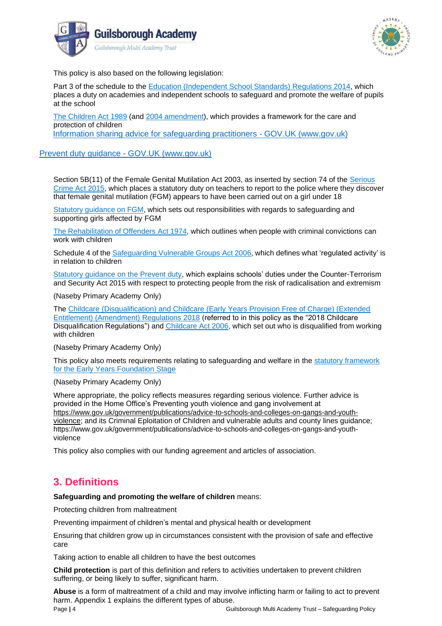



This policy is also based on the following legislation:

Part 3 of the schedule to the [Education \(Independent School Standards\) Regulations 2014, w](https://assets.publishing.service.gov.uk/government/uploads/system/uploads/attachment_data/file/719902/Sexual_violence_and_sexual_harassment_between_children_in_schools_and_colleges.pdf)hich places a duty on academies and independent schools to safeguard and promote the welfare of pupils at the school

The [Children](http://www.legislation.gov.uk/ukpga/1989/41) Act 1989 (and 2004 [amendment\)](http://www.legislation.gov.uk/ukpga/2004/31/contents), which provides a framework for the care and protection of children

Information sharing advice for safeguarding practitioners - GOV.UK (www.gov.uk)

[Prevent duty guidance -](http://educateagainsthate.com/parents/what-are-the-warning-signs/) GOV.UK (www.gov.uk)

Section 5B(11) of the Female Genital Mutilation Act 2003, as inserted by section 74 of the [Serious](http://www.legislation.gov.uk/uksi/2009/37/contents/made) Crime Act [2015, w](http://www.northamptonshirescb.org.uk/about-northamptonshire-safeguarding-children-partnership/the-partnership/)hich places a statutory duty on teachers to report to the police where they discover that female genital mutilation (FGM) appears to have been carried out on a girl under 18

Statutory [guidance](https://www.gov.uk/government/publications/governance-handbook) on FGM, which sets out responsibilities with regards to safeguarding and supporting girls affected by FGM

The [Rehabilitation](http://www.legislation.gov.uk/ukpga/1974/53) of Offenders Act 1974, which outlines when people with criminal convictions can work with children

Schedule 4 of the [Safeguarding](http://www.legislation.gov.uk/ukpga/2006/47/schedule/4) Vulnerable Groups Act 2006, which defines what 'regulated activity' is in relation to children

[Statutory guidance on the Prevent duty, w](http://www.gov.uk/government/publications/sexual-violence-and-)hich explains schools' duties under the Counter-Terrorism and Security Act 2015 with respect to protecting people from the risk of radicalisation and extremism

(Naseby Primary Academy Only)

The [Childcare \(Disqualification\) and Childcare \(Early Years Provision Free of Charge\) \(Extended](https://www.childline.org.uk/) [Entitlement\) \(Amendment\) Regulations 2018](http://www.gov.uk/government/publications/channel-guidance) (referred to in this policy as the "2018 Childcare Disqualification Regulations") and [Childcare](http://www.legislation.gov.uk/ukpga/2006/21/contents) Act 2006, which set out who is disqualified from working with children

(Naseby Primary Academy Only)

This policy also meets requirements relating to safeguarding and welfare in the [statutory framework](https://www.gov.uk/government/publications/early-years-foundation-stage-framework--2) for the Early Years [Foundation](http://www.northamptonshirescb.org.uk/about-northamptonshire-safeguarding-children-partnership/the-partnership/) Stage

(Naseby Primary Academy Only)

Where appropriate, the policy reflects measures regarding serious violence. Further advice is provided in the Home Office's Preventing youth violence and gang involvement at [https://www.gov.uk/government/publications/advice-to-schools-and-colleges-on-gangs-and-youth](https://www.gov.uk/government/publications/sharing-nudes-and-semi-nudes-advice-for-education-settings-working-with-children-and-young-people)[violence;](http://www.gov.uk/government/publications/sexual-violence-and-sexual-harassment-between-) and its Criminal Eploitation of Children and vulnerable adults and county lines guidance; http[s://www.gov.uk/go](http://www.gov.uk/government/publications/advice-to-schools-and-colleges-on-gangs-and-youth-)[vernment/publications/advice-to-schools-and-colleges-on-gangs-and-youth](https://www.gov.uk/government/publications/prevent-duty-guidance)violence

This policy also complies with our funding agreement and articles of association.

# <span id="page-3-0"></span>**3. Definitions**

**Safeguarding and promoting the welfare of children** means:

Protecting children from maltreatment

Preventing impairment of children's mental and physical health or development

Ensuring that children grow up in circumstances consistent with the provision of safe and effective care

Taking action to enable all children to have the best outcomes

**Child protection** is part of this definition and refers to activities undertaken to prevent children suffering, or being likely to suffer, significant harm.

Page **|** 4 Guilsborough Multi Academy Trust – Safeguarding Policy **Abuse** is a form of maltreatment of a child and may involve inflicting harm or failing to act to prevent harm. Appendix 1 explains the different types of abuse.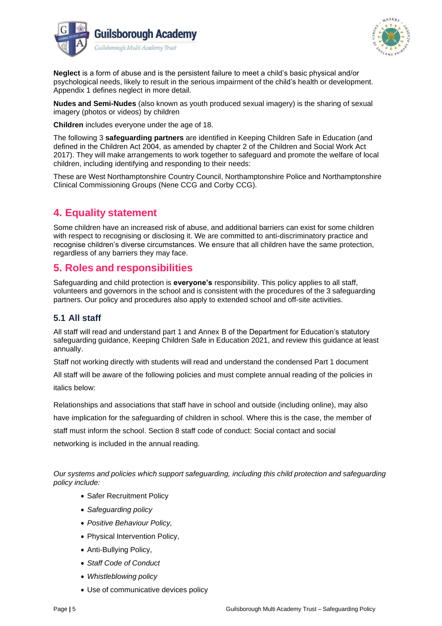



**Neglect** is a form of abuse and is the persistent failure to meet a child's basic physical and/or psychological needs, likely to result in the serious impairment of the child's health or development. Appendix 1 defines neglect in more detail.

**Nudes and Semi-Nudes** (also known as youth produced sexual imagery) is the sharing of sexual imagery (photos or videos) by children

**Children** includes everyone under the age of 18.

The following 3 **safeguarding partners** are identified in Keeping Children Safe in Education (and defined in the Children Act 2004, as amended by chapter 2 of the Children and Social Work Act 2017). They will make arrangements to work together to safeguard and promote the welfare of local children, including identifying and responding to their needs:

These are West Northamptonshire Country Council, Northamptonshire Police and Northamptonshire Clinical Commissioning Groups (Nene CCG and Corby CCG).

# <span id="page-4-0"></span>**4. Equality statement**

Some children have an increased risk of abuse, and additional barriers can exist for some children with respect to recognising or disclosing it. We are committed to anti-discriminatory practice and recognise children's diverse circumstances. We ensure that all children have the same protection, regardless of any barriers they may face.

# <span id="page-4-1"></span>**5. Roles and responsibilities**

Safeguarding and child protection is **everyone's** responsibility. This policy applies to all staff, volunteers and governors in the school and is consistent with the procedures of the 3 safeguarding partners. Our policy and procedures also apply to extended school and off-site activities.

# **5.1 All staff**

All staff will read and understand part 1 and Annex B of the Department for Education's statutory safeguarding guidance, Keeping Children Safe in Education 2021, and review this guidance at least annually.

Staff not working directly with students will read and understand the condensed Part 1 document

All staff will be aware of the following policies and must complete annual reading of the policies in italics below:

Relationships and associations that staff have in school and outside (including online), may also have implication for the safeguarding of children in school. Where this is the case, the member of staff must inform the school. Section 8 staff code of conduct: Social contact and social networking is included in the annual reading.

*Our systems and policies which support safeguarding, including this child protection and safeguarding policy include:*

- Safer Recruitment Policy
- *Safeguarding policy*
- *Positive Behaviour Policy,*
- Physical Intervention Policy,
- Anti-Bullying Policy,
- *Staff Code of Conduct*
- *Whistleblowing policy*
- Use of communicative devices policy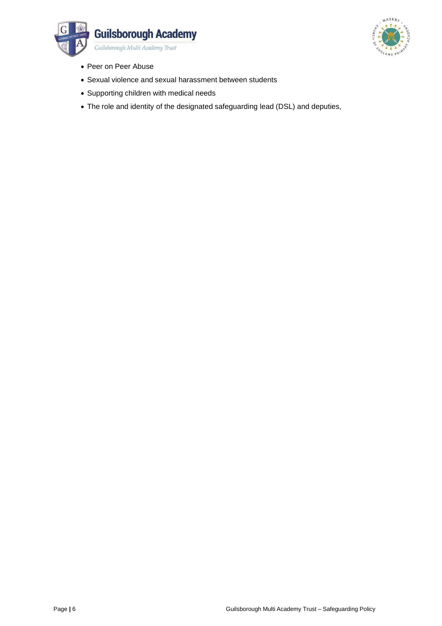



- Peer on Peer Abuse
- Sexual violence and sexual harassment between students
- Supporting children with medical needs
- The role and identity of the designated safeguarding lead (DSL) and deputies,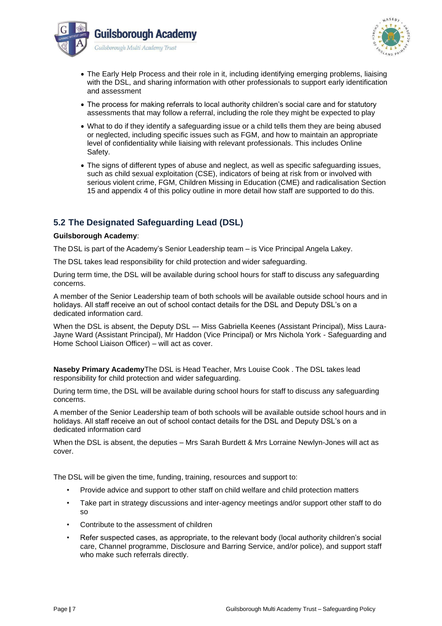



- The Early Help Process and their role in it, including identifying emerging problems, liaising with the DSL, and sharing information with other professionals to support early identification and assessment
- The process for making referrals to local authority children's social care and for statutory assessments that may follow a referral, including the role they might be expected to play
- What to do if they identify a safeguarding issue or a child tells them they are being abused or neglected, including specific issues such as FGM, and how to maintain an appropriate level of confidentiality while liaising with relevant professionals. This includes Online Safety.
- The signs of different types of abuse and neglect, as well as specific safeguarding issues, such as child sexual exploitation (CSE), indicators of being at risk from or involved with serious violent crime, FGM, Children Missing in Education (CME) and radicalisation Section 15 and appendix 4 of this policy outline in more detail how staff are supported to do this.

# **5.2 The Designated Safeguarding Lead (DSL)**

#### **Guilsborough Academy**:

The DSL is part of the Academy's Senior Leadership team – is Vice Principal Angela Lakey.

The DSL takes lead responsibility for child protection and wider safeguarding.

During term time, the DSL will be available during school hours for staff to discuss any safeguarding concerns.

A member of the Senior Leadership team of both schools will be available outside school hours and in holidays. All staff receive an out of school contact details for the DSL and Deputy DSL's on a dedicated information card.

When the DSL is absent, the Deputy DSL -- Miss Gabriella Keenes (Assistant Principal), Miss Laura-Jayne Ward (Assistant Principal), Mr Haddon (Vice Principal) or Mrs Nichola York - Safeguarding and Home School Liaison Officer) – will act as cover.

**Naseby Primary Academy**The DSL is Head Teacher, Mrs Louise Cook . The DSL takes lead responsibility for child protection and wider safeguarding.

During term time, the DSL will be available during school hours for staff to discuss any safeguarding concerns.

A member of the Senior Leadership team of both schools will be available outside school hours and in holidays. All staff receive an out of school contact details for the DSL and Deputy DSL's on a dedicated information card

When the DSL is absent, the deputies – Mrs Sarah Burdett & Mrs Lorraine Newlyn-Jones will act as cover.

The DSL will be given the time, funding, training, resources and support to:

- Provide advice and support to other staff on child welfare and child protection matters
- Take part in strategy discussions and inter-agency meetings and/or support other staff to do so
- Contribute to the assessment of children
- Refer suspected cases, as appropriate, to the relevant body (local authority children's social care, Channel programme, Disclosure and Barring Service, and/or police), and support staff who make such referrals directly.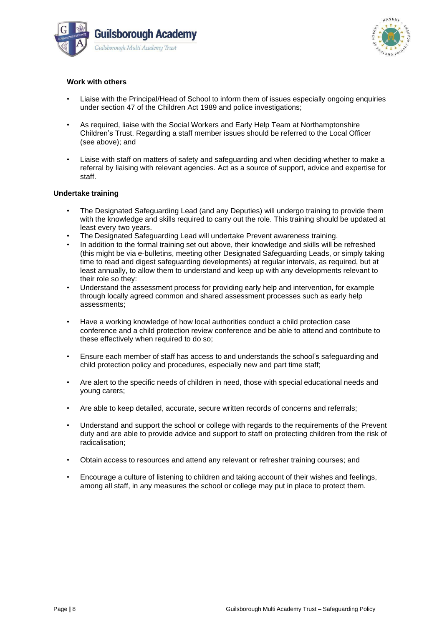



#### **Work with others**

- Liaise with the Principal/Head of School to inform them of issues especially ongoing enquiries under section 47 of the Children Act 1989 and police investigations;
- As required, liaise with the Social Workers and Early Help Team at Northamptonshire Children's Trust. Regarding a staff member issues should be referred to the Local Officer (see above); and
- Liaise with staff on matters of safety and safeguarding and when deciding whether to make a referral by liaising with relevant agencies. Act as a source of support, advice and expertise for staff.

#### **Undertake training**

- The Designated Safeguarding Lead (and any Deputies) will undergo training to provide them with the knowledge and skills required to carry out the role. This training should be updated at least every two years.
- The Designated Safeguarding Lead will undertake Prevent awareness training.
- In addition to the formal training set out above, their knowledge and skills will be refreshed (this might be via e-bulletins, meeting other Designated Safeguarding Leads, or simply taking time to read and digest safeguarding developments) at regular intervals, as required, but at least annually, to allow them to understand and keep up with any developments relevant to their role so they:
- Understand the assessment process for providing early help and intervention, for example through locally agreed common and shared assessment processes such as early help assessments;
- Have a working knowledge of how local authorities conduct a child protection case conference and a child protection review conference and be able to attend and contribute to these effectively when required to do so;
- Ensure each member of staff has access to and understands the school's safeguarding and child protection policy and procedures, especially new and part time staff;
- Are alert to the specific needs of children in need, those with special educational needs and young carers;
- Are able to keep detailed, accurate, secure written records of concerns and referrals;
- Understand and support the school or college with regards to the requirements of the Prevent duty and are able to provide advice and support to staff on protecting children from the risk of radicalisation;
- Obtain access to resources and attend any relevant or refresher training courses; and
- Encourage a culture of listening to children and taking account of their wishes and feelings, among all staff, in any measures the school or college may put in place to protect them.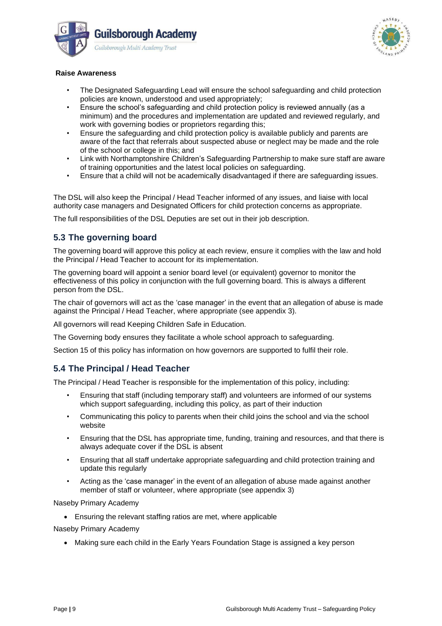



#### **Raise Awareness**

- The Designated Safeguarding Lead will ensure the school safeguarding and child protection policies are known, understood and used appropriately;
- Ensure the school's safeguarding and child protection policy is reviewed annually (as a minimum) and the procedures and implementation are updated and reviewed regularly, and work with governing bodies or proprietors regarding this;
- Ensure the safeguarding and child protection policy is available publicly and parents are aware of the fact that referrals about suspected abuse or neglect may be made and the role of the school or college in this; and
- Link with Northamptonshire Children's Safeguarding Partnership to make sure staff are aware of training opportunities and the latest local policies on safeguarding.
- Ensure that a child will not be academically disadvantaged if there are safeguarding issues.

The DSL will also keep the Principal / Head Teacher informed of any issues, and liaise with local authority case managers and Designated Officers for child protection concerns as appropriate.

The full responsibilities of the DSL Deputies are set out in their job description.

# **5.3 The governing board**

The governing board will approve this policy at each review, ensure it complies with the law and hold the Principal / Head Teacher to account for its implementation.

The governing board will appoint a senior board level (or equivalent) governor to monitor the effectiveness of this policy in conjunction with the full governing board. This is always a different person from the DSL.

The chair of governors will act as the 'case manager' in the event that an allegation of abuse is made against the Principal / Head Teacher, where appropriate (see appendix 3).

All governors will read Keeping Children Safe in Education.

The Governing body ensures they facilitate a whole school approach to safeguarding.

Section 15 of this policy has information on how governors are supported to fulfil their role.

### **5.4 The Principal / Head Teacher**

The Principal / Head Teacher is responsible for the implementation of this policy, including:

- Ensuring that staff (including temporary staff) and volunteers are informed of our systems which support safeguarding, including this policy, as part of their induction
- Communicating this policy to parents when their child joins the school and via the school website
- Ensuring that the DSL has appropriate time, funding, training and resources, and that there is always adequate cover if the DSL is absent
- Ensuring that all staff undertake appropriate safeguarding and child protection training and update this regularly
- Acting as the 'case manager' in the event of an allegation of abuse made against another member of staff or volunteer, where appropriate (see appendix 3)

Naseby Primary Academy

• Ensuring the relevant staffing ratios are met, where applicable

Naseby Primary Academy

• Making sure each child in the Early Years Foundation Stage is assigned a key person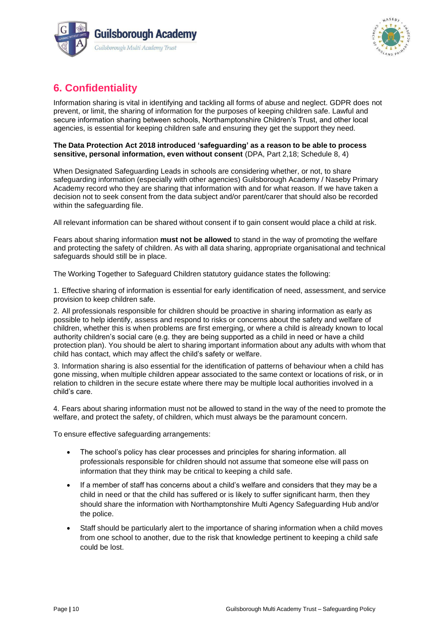



# <span id="page-9-0"></span>**6. Confidentiality**

Information sharing is vital in identifying and tackling all forms of abuse and neglect. GDPR does not prevent, or limit, the sharing of information for the purposes of keeping children safe. Lawful and secure information sharing between schools, Northamptonshire Children's Trust, and other local agencies, is essential for keeping children safe and ensuring they get the support they need.

#### **The Data Protection Act 2018 introduced 'safeguarding' as a reason to be able to process sensitive, personal information, even without consent** (DPA, Part 2,18; Schedule 8, 4)

When Designated Safeguarding Leads in schools are considering whether, or not, to share safeguarding information (especially with other agencies) Guilsborough Academy / Naseby Primary Academy record who they are sharing that information with and for what reason. If we have taken a decision not to seek consent from the data subject and/or parent/carer that should also be recorded within the safeguarding file.

All relevant information can be shared without consent if to gain consent would place a child at risk.

Fears about sharing information **must not be allowed** to stand in the way of promoting the welfare and protecting the safety of children. As with all data sharing, appropriate organisational and technical safeguards should still be in place.

The Working Together to Safeguard Children statutory guidance states the following:

1. Effective sharing of information is essential for early identification of need, assessment, and service provision to keep children safe.

2. All professionals responsible for children should be proactive in sharing information as early as possible to help identify, assess and respond to risks or concerns about the safety and welfare of children, whether this is when problems are first emerging, or where a child is already known to local authority children's social care (e.g. they are being supported as a child in need or have a child protection plan). You should be alert to sharing important information about any adults with whom that child has contact, which may affect the child's safety or welfare.

3. Information sharing is also essential for the identification of patterns of behaviour when a child has gone missing, when multiple children appear associated to the same context or locations of risk, or in relation to children in the secure estate where there may be multiple local authorities involved in a child's care.

4. Fears about sharing information must not be allowed to stand in the way of the need to promote the welfare, and protect the safety, of children, which must always be the paramount concern.

To ensure effective safeguarding arrangements:

- The school's policy has clear processes and principles for sharing information. all professionals responsible for children should not assume that someone else will pass on information that they think may be critical to keeping a child safe.
- If a member of staff has concerns about a child's welfare and considers that they may be a child in need or that the child has suffered or is likely to suffer significant harm, then they should share the information with Northamptonshire Multi Agency Safeguarding Hub and/or the police.
- Staff should be particularly alert to the importance of sharing information when a child moves from one school to another, due to the risk that knowledge pertinent to keeping a child safe could be lost.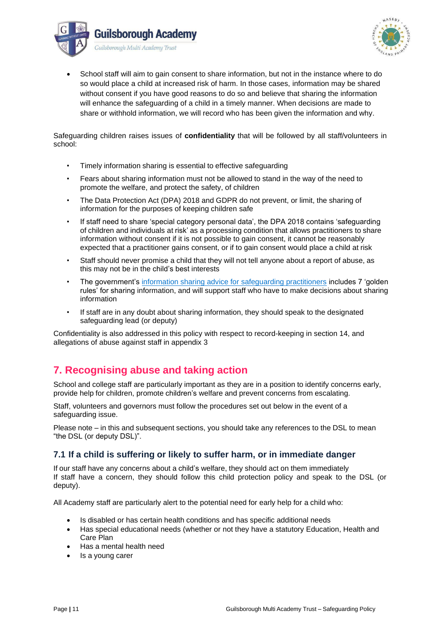



• School staff will aim to gain consent to share information, but not in the instance where to do so would place a child at increased risk of harm. In those cases, information may be shared without consent if you have good reasons to do so and believe that sharing the information will enhance the safeguarding of a child in a timely manner. When decisions are made to share or withhold information, we will record who has been given the information and why.

Safeguarding children raises issues of **confidentiality** that will be followed by all staff/volunteers in school:

- Timely information sharing is essential to effective safeguarding
- Fears about sharing information must not be allowed to stand in the way of the need to promote the welfare, and protect the safety, of children
- The Data Protection Act (DPA) 2018 and GDPR do not prevent, or limit, the sharing of information for the purposes of keeping children safe
- If staff need to share 'special category personal data', the DPA 2018 contains 'safeguarding of children and individuals at risk' as a processing condition that allows practitioners to share information without consent if it is not possible to gain consent, it cannot be reasonably expected that a practitioner gains consent, or if to gain consent would place a child at risk
- Staff should never promise a child that they will not tell anyone about a report of abuse, as this may not be in the child's best interests
- The government's [information sharing advice for safeguarding practitioners](https://www.saferinternet.org.uk/helpline/professionals-online-safety-helpline) includes 7 'golden rules' for sharing information, and will support staff who have to make decisions about sharing information
- If staff are in any doubt about sharing information, they should speak to the designated safeguarding lead (or deputy)

Confidentiality is also addressed in this policy with respect to record-keeping in section 14, and allegations of abuse against staff in appendix 3

# **7. Recognising abuse and taking action**

School and college staff are particularly important as they are in a position to identify concerns early, provide help for children, promote children's welfare and prevent concerns from escalating.

Staff, volunteers and governors must follow the procedures set out below in the event of a safeguarding issue.

Please note – in this and subsequent sections, you should take any references to the DSL to mean "the DSL (or deputy DSL)".

# **7.1 If a child is suffering or likely to suffer harm, or in immediate danger**

If our staff have any concerns about a child's welfare, they should act on them immediately If staff have a concern, they should follow this child protection policy and speak to the DSL (or deputy).

All Academy staff are particularly alert to the potential need for early help for a child who:

- Is disabled or has certain health conditions and has specific additional needs
- Has special educational needs (whether or not they have a statutory Education, Health and Care Plan
- Has a mental health need
- Is a young carer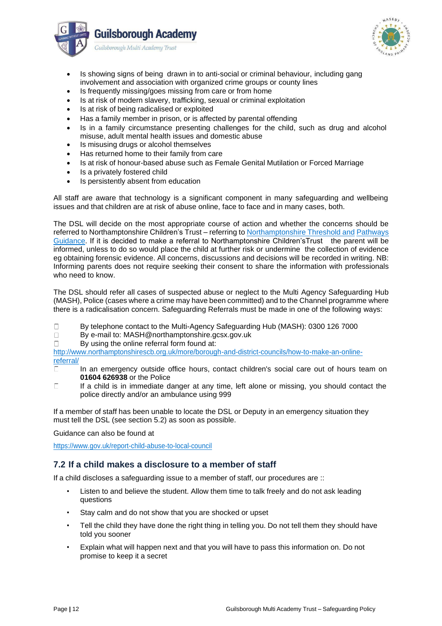



- Is showing signs of being drawn in to anti-social or criminal behaviour, including gang involvement and association with organized crime groups or county lines
- Is frequently missing/goes missing from care or from home
- Is at risk of modern slavery, trafficking, sexual or criminal exploitation
- Is at risk of being radicalised or exploited
- Has a family member in prison, or is affected by parental offending
- Is in a family circumstance presenting challenges for the child, such as drug and alcohol misuse, adult mental health issues and domestic abuse
- Is misusing drugs or alcohol themselves
- Has returned home to their family from care
- Is at risk of honour-based abuse such as Female Genital Mutilation or Forced Marriage
- Is a privately fostered child
- Is persistently absent from education

All staff are aware that technology is a significant component in many safeguarding and wellbeing issues and that children are at risk of abuse online, face to face and in many cases, both.

The DSL will decide on the most appropriate course of action and whether the concerns should be referred to [Northamptonshire](http://www.northamptonshirescb.org.uk/more/borough-and-district-councils/how-to-make-an-online-referral/) Children's Trust – referring to Northamptonshire Threshold and [Pathways](https://www3.northamptonshire.gov.uk/councilservices/children-families-education/help-and-protection-for-children/protecting-children-information-for-professionals/Documents/NSCB%20Thresholds%20Guidance%202018.pdf) [Guidance.](https://www3.northamptonshire.gov.uk/councilservices/children-families-education/help-and-protection-for-children/protecting-children-information-for-professionals/Documents/NSCB%20Thresholds%20Guidance%202018.pdf) If it is decided to make a referral to Northamptonshire Children'sTrust the parent will be informed, unless to do so would place the child at further risk or undermine the collection of evidence eg obtaining forensic evidence. All concerns, discussions and decisions will be recorded in writing. NB: Informing parents does not require seeking their consent to share the information with professionals who need to know.

The DSL should refer all cases of suspected abuse or neglect to the Multi Agency Safeguarding Hub (MASH), Police (cases where a crime may have been committed) and to the Channel programme where there is a radicalisation concern. Safeguarding Referrals must be made in one of the following ways:

- $\Box$ By telephone contact to the Multi-Agency Safeguarding Hub (MASH): 0300 126 7000
- $\Box$ By e-mail to: [MASH@northamptonshire.gcsx.gov.uk](http://www.nota.co.uk/)
- By using the online referral form found at:  $\Box$

[http://www.northamptonshirescb.org.uk/more/borough-and-district-councils/how-to-make-an-online](http://www.legislation.gov.uk/ukpga/2015/9/part/5/crossheading/female-genital-mutilation)[referral/](http://www.legislation.gov.uk/uksi/2018/794/contents/made)

- In an emergency outside office hours, contact children's social care out of hours team on  $\Box$ **01604 626938** or the Police
- $\Box$ If a child is in immediate danger at any time, left alone or missing, you should contact the police directly and/or an ambulance using 999

If a member of staff has been unable to locate the DSL or Deputy in an emergency situation they must tell the DSL (see section 5.2) as soon as possible.

Guidance can also be found at

[https://www.gov.uk/report-child-abuse-to-local-council](https://www.gov.uk/government/publications/keeping-children-safe-in-education--2)

### **7.2 If a child makes a disclosure to a member of staff**

If a child discloses a safeguarding issue to a member of staff, our procedures are ::

- Listen to and believe the student. Allow them time to talk freely and do not ask leading questions
- Stay calm and do not show that you are shocked or upset
- Tell the child they have done the right thing in telling you. Do not tell them they should have told you sooner
- Explain what will happen next and that you will have to pass this information on. Do not promise to keep it a secret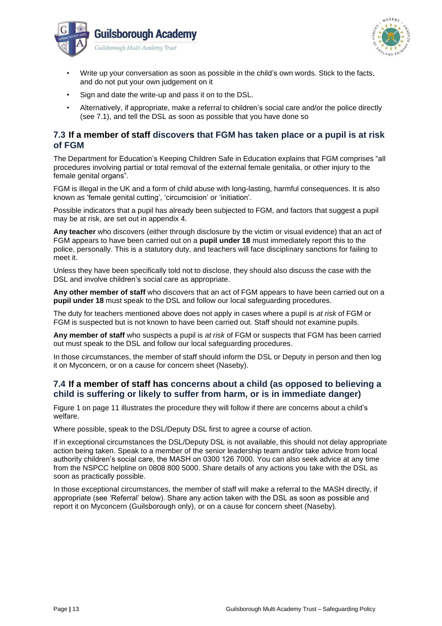



- Write up your conversation as soon as possible in the child's own words. Stick to the facts, and do not put your own judgement on it
- Sign and date the write-up and pass it on to the DSL.
- Alternatively, if appropriate, make a referral to children's social care and/or the police directly (see 7.1), and tell the DSL as soon as possible that you have done so

### **7.3 If a member of staff discovers that FGM has taken place or a pupil is at risk of FGM**

The Department for Education's Keeping Children Safe in Education explains that FGM comprises "all procedures involving partial or total removal of the external female genitalia, or other injury to the female genital organs".

FGM is illegal in the UK and a form of child abuse with long-lasting, harmful consequences. It is also known as 'female genital cutting', 'circumcision' or 'initiation'.

Possible indicators that a pupil has already been subjected to FGM, and factors that suggest a pupil may be at risk, are set out in appendix 4.

**Any teacher** who discovers (either through disclosure by the victim or visual evidence) that an act of FGM appears to have been carried out on a **pupil under 18** must immediately report this to the police, personally. This is a statutory duty, and teachers will face disciplinary sanctions for failing to meet it.

Unless they have been specifically told not to disclose, they should also discuss the case with the DSL and involve children's social care as appropriate.

**Any other member of staff** who discovers that an act of FGM appears to have been carried out on a **pupil under 18** must speak to the DSL and follow our local safeguarding procedures.

The duty for teachers mentioned above does not apply in cases where a pupil is *at risk* of FGM or FGM is suspected but is not known to have been carried out. Staff should not examine pupils.

**Any member of staff** who suspects a pupil is *at risk* of FGM or suspects that FGM has been carried out must speak to the DSL and follow our local safeguarding procedures.

In those circumstances, the member of staff should inform the DSL or Deputy in person and then log it on Myconcern, or on a cause for concern sheet (Naseby).

### **7.4 If a member of staff has concerns about a child (as opposed to believing a child is suffering or likely to suffer from harm, or is in immediate danger)**

Figure 1 on page 11 illustrates the procedure they will follow if there are concerns about a child's welfare.

Where possible, speak to the DSL/Deputy DSL first to agree a course of action.

If in exceptional circumstances the DSL/Deputy DSL is not available, this should not delay appropriate action being taken. Speak to a member of the senior leadership team and/or take advice from local authority children's social care, the MASH on 0300 126 7000. You can also seek advice at any time from the NSPCC helpline on 0808 800 5000. Share details of any actions you take with the DSL as soon as practically possible.

In those exceptional circumstances, the member of staff will make a referral to the MASH directly, if appropriate (see 'Referral' below). Share any action taken with the DSL as soon as possible and report it on Myconcern (Guilsborough only), or on a cause for concern sheet (Naseby).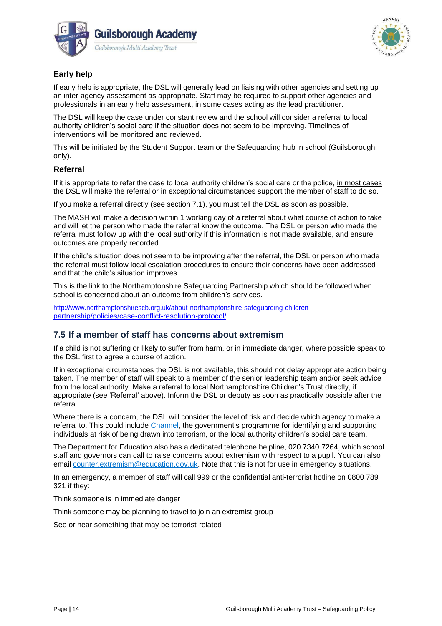



# **Early help**

If early help is appropriate, the DSL will generally lead on liaising with other agencies and setting up an inter-agency assessment as appropriate. Staff may be required to support other agencies and professionals in an early help assessment, in some cases acting as the lead practitioner.

The DSL will keep the case under constant review and the school will consider a referral to local authority children's social care if the situation does not seem to be improving. Timelines of interventions will be monitored and reviewed.

This will be initiated by the Student Support team or the Safeguarding hub in school (Guilsborough only).

#### **Referral**

If it is appropriate to refer the case to local authority children's social care or the police, in most cases the DSL will make the referral or in exceptional circumstances support the member of staff to do so.

If you make a referral directly (see section 7.1), you must tell the DSL as soon as possible.

The MASH will make a decision within 1 working day of a referral about what course of action to take and will let the person who made the referral know the outcome. The DSL or person who made the referral must follow up with the local authority if this information is not made available, and ensure outcomes are properly recorded.

If the child's situation does not seem to be improving after the referral, the DSL or person who made the referral must follow local escalation procedures to ensure their concerns have been addressed and that the child's situation improves.

This is the link to the Northamptonshire Safeguarding Partnership which should be followed when school is concerned about an outcome from children's services.

[http://www.northamptonshirescb.org.uk/about-northamptonshire-safeguarding-children](http://www.gov.uk/government/publications/sexual-violence-and-sexual-harassment-between-)[partnership/policies/case-conflict-resolution-protocol/.](http://www.northamptonshirescb.org.uk/schools/safeguarding-themes/private-fostering/)

### **7.5 If a member of staff has concerns about extremism**

If a child is not suffering or likely to suffer from harm, or in immediate danger, where possible speak to the DSL first to agree a course of action.

If in exceptional circumstances the DSL is not available, this should not delay appropriate action being taken. The member of staff will speak to a member of the senior leadership team and/or seek advice from the local authority. Make a referral to local Northamptonshire Children's Trust directly, if appropriate (see 'Referral' above). Inform the DSL or deputy as soon as practically possible after the referral.

Where there is a concern, the DSL will consider the level of risk and decide which agency to make a referral to. This could include [Channel, t](mailto:newlyn-jones@nasebyacademy.com)he government's programme for identifying and supporting individuals at risk of being drawn into terrorism, or the local authority children's social care team.

The Department for Education also has a dedicated telephone helpline, 020 7340 7264, which school staff and governors can call to raise concerns about extremism with respect to a pupil. You can also email [counter.extremism@education.gov.uk. N](mailto:counter.extremism@education.gov.uk)ote that this is not for use in emergency situations.

In an emergency, a member of staff will call 999 or the confidential anti-terrorist hotline on 0800 789 321 if they:

Think someone is in immediate danger

Think someone may be planning to travel to join an extremist group

See or hear something that may be terrorist-related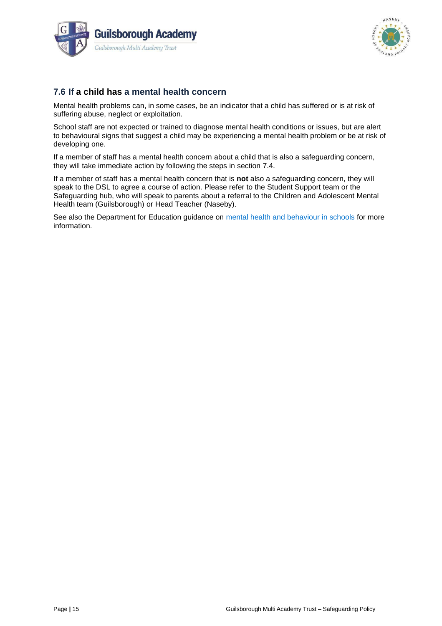



# **7.6 If a child has a mental health concern**

Mental health problems can, in some cases, be an indicator that a child has suffered or is at risk of suffering abuse, neglect or exploitation.

School staff are not expected or trained to diagnose mental health conditions or issues, but are alert to behavioural signs that suggest a child may be experiencing a mental health problem or be at risk of developing one.

If a member of staff has a mental health concern about a child that is also a safeguarding concern, they will take immediate action by following the steps in section 7.4.

If a member of staff has a mental health concern that is **not** also a safeguarding concern, they will speak to the DSL to agree a course of action. Please refer to the Student Support team or the Safeguarding hub, who will speak to parents about a referral to the Children and Adolescent Mental Health team (Guilsborough) or Head Teacher (Naseby).

See also the Department for Education guidance on [mental health and behaviour in schools](https://www.gov.uk/government/publications/mental-health-and-behaviour-in-schools--2) for more information.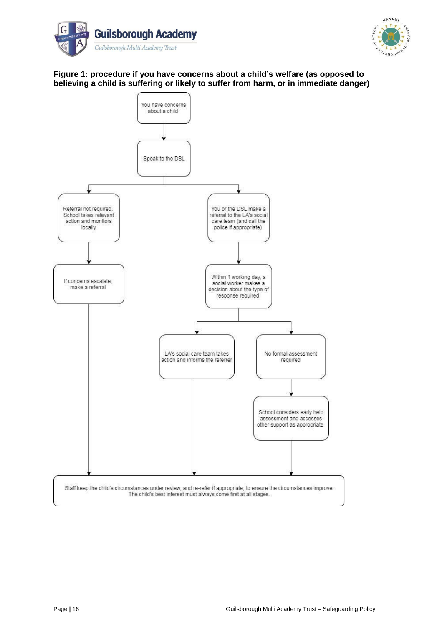



**Figure 1: procedure if you have concerns about a child's welfare (as opposed to believing a child is suffering or likely to suffer from harm, or in immediate danger)**

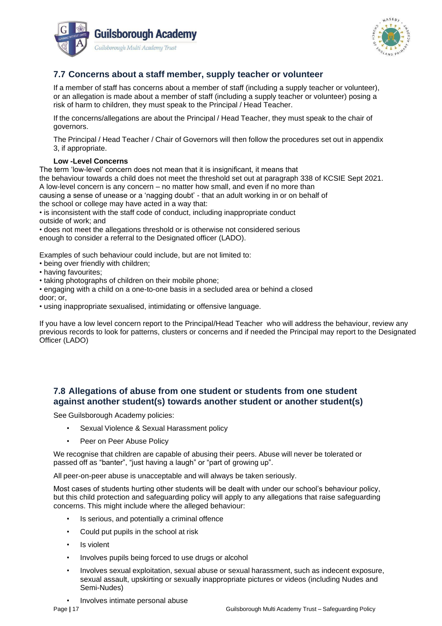



# **7.7 Concerns about a staff member, supply teacher or volunteer**

If a member of staff has concerns about a member of staff (including a supply teacher or volunteer), or an allegation is made about a member of staff (including a supply teacher or volunteer) posing a risk of harm to children, they must speak to the Principal / Head Teacher.

If the concerns/allegations are about the Principal / Head Teacher, they must speak to the chair of governors.

The Principal / Head Teacher / Chair of Governors will then follow the procedures set out in appendix 3, if appropriate.

#### **Low -Level Concerns**

The term 'low-level' concern does not mean that it is insignificant, it means that the behaviour towards a child does not meet the threshold set out at paragraph 338 of KCSIE Sept 2021. A low-level concern is any concern – no matter how small, and even if no more than causing a sense of unease or a 'nagging doubt' - that an adult working in or on behalf of the school or college may have acted in a way that:

• is inconsistent with the staff code of conduct, including inappropriate conduct outside of work; and

• does not meet the allegations threshold or is otherwise not considered serious enough to consider a referral to the Designated officer (LADO).

Examples of such behaviour could include, but are not limited to:

- being over friendly with children;
- having favourites;
- taking photographs of children on their mobile phone;
- engaging with a child on a one-to-one basis in a secluded area or behind a closed door; or,
- using inappropriate sexualised, intimidating or offensive language.

If you have a low level concern report to the Principal/Head Teacher who will address the behaviour, review any previous records to look for patterns, clusters or concerns and if needed the Principal may report to the Designated Officer (LADO)

# **7.8 Allegations of abuse from one student or students from one student against another student(s) towards another student or another student(s)**

See Guilsborough Academy policies:

- Sexual Violence & Sexual Harassment policy
- Peer on Peer Abuse Policy

We recognise that children are capable of abusing their peers. Abuse will never be tolerated or passed off as "banter", "just having a laugh" or "part of growing up".

All peer-on-peer abuse is unacceptable and will always be taken seriously.

Most cases of students hurting other students will be dealt with under our school's behaviour policy, but this child protection and safeguarding policy will apply to any allegations that raise safeguarding concerns. This might include where the alleged behaviour:

- Is serious, and potentially a criminal offence
- Could put pupils in the school at risk
- Is violent
- Involves pupils being forced to use drugs or alcohol
- Involves sexual exploitation, sexual abuse or sexual harassment, such as indecent exposure, sexual assault, upskirting or sexually inappropriate pictures or videos (including Nudes and Semi-Nudes)
- Involves intimate personal abuse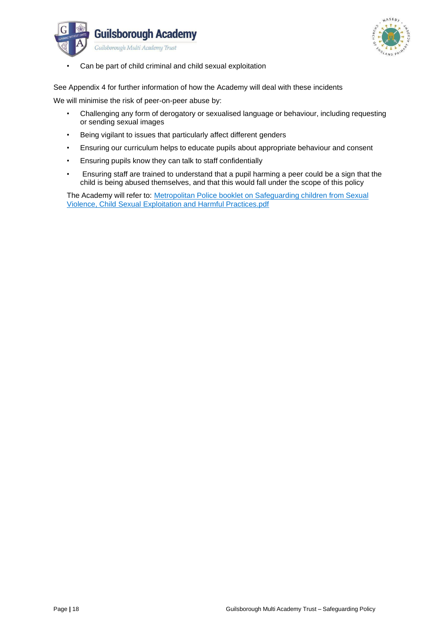



• Can be part of child criminal and child sexual exploitation

See Appendix 4 for further information of how the Academy will deal with these incidents

We will minimise the risk of peer-on-peer abuse by:

- Challenging any form of derogatory or sexualised language or behaviour, including requesting or sending sexual images
- Being vigilant to issues that particularly affect different genders
- Ensuring our curriculum helps to educate pupils about appropriate behaviour and consent
- Ensuring pupils know they can talk to staff confidentially
- Ensuring staff are trained to understand that a pupil harming a peer could be a sign that the child is being abused themselves, and that this would fall under the scope of this policy

The Academy will refer to: Metropolitan Police booklet on Safeguarding children from Sexual Violence, Child Sexual Exploitation and Harmful Practices.pdf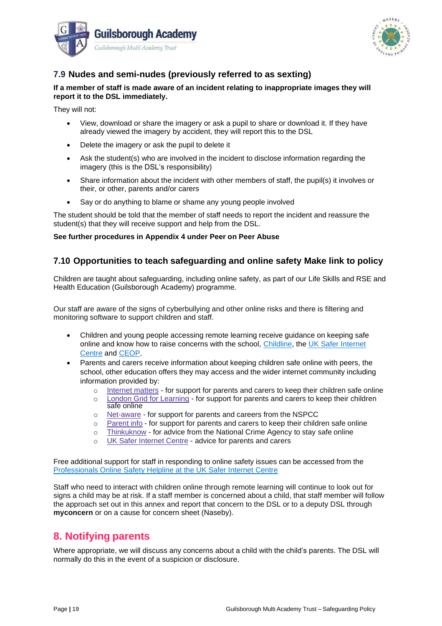



# **7.9 Nudes and semi-nudes (previously referred to as sexting)**

#### **If a member of staff is made aware of an incident relating to inappropriate images they will report it to the DSL immediately.**

They will not:

- View, download or share the imagery or ask a pupil to share or download it. If they have already viewed the imagery by accident, they will report this to the DSL
- Delete the imagery or ask the pupil to delete it
- Ask the student(s) who are involved in the incident to disclose information regarding the imagery (this is the DSL's responsibility)
- Share information about the incident with other members of staff, the pupil(s) it involves or their, or other, parents and/or carers
- Say or do anything to blame or shame any young people involved

The student should be told that the member of staff needs to report the incident and reassure the student(s) that they will receive support and help from the DSL.

#### **See further procedures in Appendix 4 under Peer on Peer Abuse**

# **7.10 Opportunities to teach safeguarding and online safety Make link to policy**

Children are taught about safeguarding, including online safety, as part of our Life Skills and RSE and Health Education (Guilsborough Academy) programme.

Our staff are aware of the signs of cyberbullying and other online risks and there is filtering and monitoring software to support children and staff.

- Children and young people accessing remote learning receive guidance on keeping safe online and know how to raise concerns with the school, [Childline, t](http://www.northamptonshirescb.org.uk/?utm_source=google&utm_medium=cpc&utm_campaign=UK_GO_S_B_BND_Grant_Childline_Information&utm_term=role_of_childline&gclsrc=aw.ds&&gclid=EAIaIQobChMIlfLRh-ez6AIVRrDtCh1N9QR2EAAYASAAEgLc-vD_BwE&gclsrc=aw.ds)he [UK Safer Internet](http://www.legislation.gov.uk/uksi/2014/3283/schedule/part/3/made) [Centre](https://reportharmfulcontent.com/) and [CEOP.](https://www.ceop.police.uk/safety-centre/)
- Parents and carers receive information about keeping children safe online with peers, the school, other education offers they may access and the wider internet community including information provided by:
	- o [Internet](mailto:MASH@northamptonshire.gcsx.gov.uk?gclid=EAIaIQobChMIktuA5LWK2wIVRYXVCh2afg2aEAAYASAAEgIJ5vD_BwE) matters for support for parents and carers to keep their children safe online
	- o London Grid [for Learning](http://www.gov.uk/government/publications/channel-guidance) for support for parents and carers to keep their children
	- safe online
	- [Net-aware](https://www.gov.uk/government/publications/designated-teacher-for-looked-after-children) for support for parents and careers from the NSPCC
	- o [Parent](https://parentinfo.org/) info for support for parents and carers to keep their children safe online
	- o [Thinkuknow](http://www.thinkuknow.co.uk/) for advice from the National Crime Agency to stay safe online
	- o UK Safer [Internet](https://www.gov.uk/government/publications/advice-to-schools-and-colleges-on-gangs-and-youth-violence) Centre advice for parents and carers

Free additional support for staff in responding to online safety issues can be accessed from the [Professionals Online](https://www.gov.uk/government/publications/prevent-duty-guidance) Safety Helpline at the UK Safer Internet Centre

Staff who need to interact with children online through remote learning will continue to look out for signs a child may be at risk. If a staff member is concerned about a child, that staff member will follow the approach set out in this annex and report that concern to the DSL or to a deputy DSL through **myconcern** or on a cause for concern sheet (Naseby).

# <span id="page-18-0"></span>**8. Notifying parents**

Where appropriate, we will discuss any concerns about a child with the child's parents. The DSL will normally do this in the event of a suspicion or disclosure.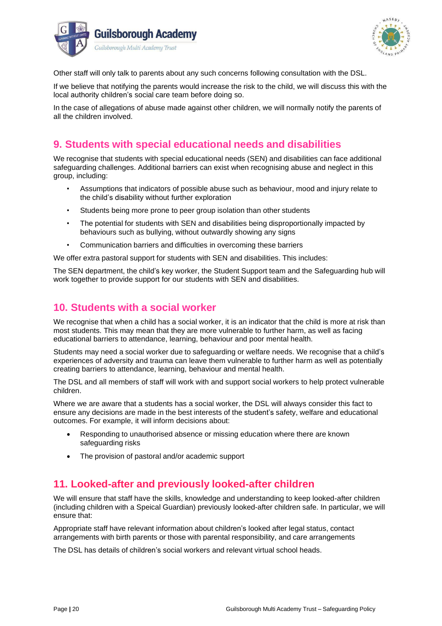



Other staff will only talk to parents about any such concerns following consultation with the DSL.

If we believe that notifying the parents would increase the risk to the child, we will discuss this with the local authority children's social care team before doing so.

In the case of allegations of abuse made against other children, we will normally notify the parents of all the children involved.

# <span id="page-19-0"></span>**9. Students with special educational needs and disabilities**

We recognise that students with special educational needs (SEN) and disabilities can face additional safeguarding challenges. Additional barriers can exist when recognising abuse and neglect in this group, including:

- Assumptions that indicators of possible abuse such as behaviour, mood and injury relate to the child's disability without further exploration
- Students being more prone to peer group isolation than other students
- The potential for students with SEN and disabilities being disproportionally impacted by behaviours such as bullying, without outwardly showing any signs
- Communication barriers and difficulties in overcoming these barriers

We offer extra pastoral support for students with SEN and disabilities. This includes:

The SEN department, the child's key worker, the Student Support team and the Safeguarding hub will work together to provide support for our students with SEN and disabilities.

# <span id="page-19-1"></span>**10. Students with a social worker**

We recognise that when a child has a social worker, it is an indicator that the child is more at risk than most students. This may mean that they are more vulnerable to further harm, as well as facing educational barriers to attendance, learning, behaviour and poor mental health.

Students may need a social worker due to safeguarding or welfare needs. We recognise that a child's experiences of adversity and trauma can leave them vulnerable to further harm as well as potentially creating barriers to attendance, learning, behaviour and mental health.

The DSL and all members of staff will work with and support social workers to help protect vulnerable children.

Where we are aware that a students has a social worker, the DSL will always consider this fact to ensure any decisions are made in the best interests of the student's safety, welfare and educational outcomes. For example, it will inform decisions about:

- Responding to unauthorised absence or missing education where there are known safeguarding risks
- The provision of pastoral and/or academic support

# <span id="page-19-2"></span>**11. Looked-after and previously looked-after children**

We will ensure that staff have the skills, knowledge and understanding to keep looked-after children (including children with a Speical Guardian) previously looked-after children safe. In particular, we will ensure that:

Appropriate staff have relevant information about children's looked after legal status, contact arrangements with birth parents or those with parental responsibility, and care arrangements

The DSL has details of children's social workers and relevant virtual school heads.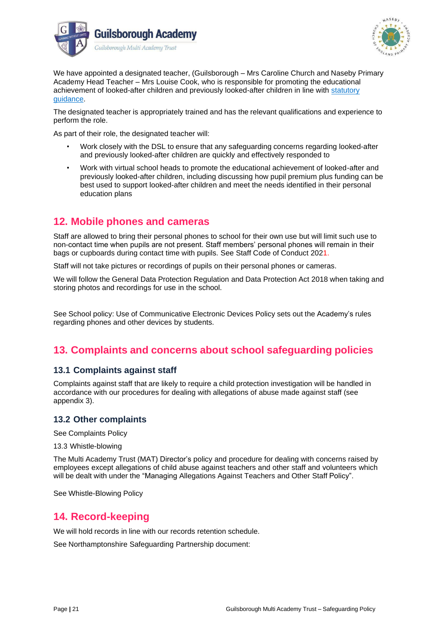



We have appointed a designated teacher, (Guilsborough – Mrs Caroline Church and Naseby Primary Academy Head Teacher – Mrs Louise Cook, who is responsible for promoting the educational achievement of looked-after children and previously looked-after children in line with [statutory](http://www.legislation.gov.uk/uksi/2018/794/contents/made) [guidance.](https://www.gov.uk/government/publications/channel-guidance)

The designated teacher is appropriately trained and has the relevant qualifications and experience to perform the role.

As part of their role, the designated teacher will:

- Work closely with the DSL to ensure that any safeguarding concerns regarding looked-after and previously looked-after children are quickly and effectively responded to
- Work with virtual school heads to promote the educational achievement of looked-after and previously looked-after children, including discussing how pupil premium plus funding can be best used to support looked-after children and meet the needs identified in their personal education plans

# <span id="page-20-0"></span>**12. Mobile phones and cameras**

Staff are allowed to bring their personal phones to school for their own use but will limit such use to non-contact time when pupils are not present. Staff members' personal phones will remain in their bags or cupboards during contact time with pupils. See Staff Code of Conduct 2021.

Staff will not take pictures or recordings of pupils on their personal phones or cameras.

We will follow the General Data Protection Regulation and Data Protection Act 2018 when taking and storing photos and recordings for use in the school.

See School policy: Use of Communicative Electronic Devices Policy sets out the Academy's rules regarding phones and other devices by students.

# <span id="page-20-1"></span>**13. Complaints and concerns about school safeguarding policies**

### **13.1 Complaints against staff**

Complaints against staff that are likely to require a child protection investigation will be handled in accordance with our procedures for dealing with allegations of abuse made against staff (see appendix 3).

### **13.2 Other complaints**

See Complaints Policy

13.3 Whistle-blowing

The Multi Academy Trust (MAT) Director's policy and procedure for dealing with concerns raised by employees except allegations of child abuse against teachers and other staff and volunteers which will be dealt with under the "Managing Allegations Against Teachers and Other Staff Policy".

See Whistle-Blowing Policy

# <span id="page-20-2"></span>**14. Record-keeping**

We will hold records in line with our records retention schedule.

See Northamptonshire Safeguarding Partnership document: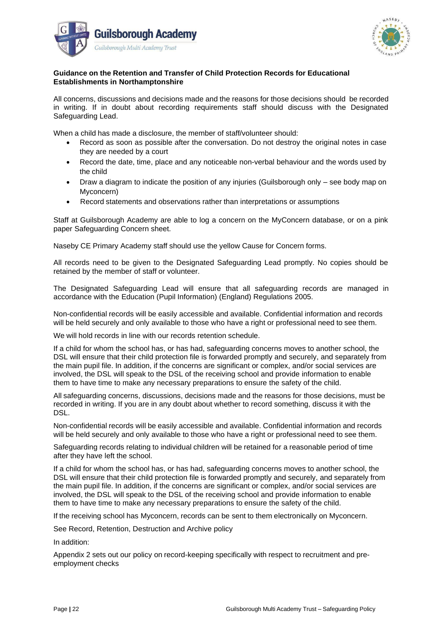



#### **Guidance on the Retention and Transfer of Child Protection Records for Educational Establishments in Northamptonshire**

All concerns, discussions and decisions made and the reasons for those decisions should be recorded in writing. If in doubt about recording requirements staff should discuss with the Designated Safeguarding Lead.

When a child has made a disclosure, the member of staff/volunteer should:

- Record as soon as possible after the conversation. Do not destroy the original notes in case they are needed by a court
- Record the date, time, place and any noticeable non-verbal behaviour and the words used by the child
- Draw a diagram to indicate the position of any injuries (Guilsborough only see body map on Myconcern)
- Record statements and observations rather than interpretations or assumptions

Staff at Guilsborough Academy are able to log a concern on the MyConcern database, or on a pink paper Safeguarding Concern sheet.

Naseby CE Primary Academy staff should use the yellow Cause for Concern forms.

All records need to be given to the Designated Safeguarding Lead promptly. No copies should be retained by the member of staff or volunteer.

The Designated Safeguarding Lead will ensure that all safeguarding records are managed in accordance with the Education (Pupil Information) (England) Regulations 2005.

Non-confidential records will be easily accessible and available. Confidential information and records will be held securely and only available to those who have a right or professional need to see them.

We will hold records in line with our records retention schedule.

If a child for whom the school has, or has had, safeguarding concerns moves to another school, the DSL will ensure that their child protection file is forwarded promptly and securely, and separately from the main pupil file. In addition, if the concerns are significant or complex, and/or social services are involved, the DSL will speak to the DSL of the receiving school and provide information to enable them to have time to make any necessary preparations to ensure the safety of the child.

All safeguarding concerns, discussions, decisions made and the reasons for those decisions, must be recorded in writing. If you are in any doubt about whether to record something, discuss it with the DSL.

Non-confidential records will be easily accessible and available. Confidential information and records will be held securely and only available to those who have a right or professional need to see them.

Safeguarding records relating to individual children will be retained for a reasonable period of time after they have left the school.

If a child for whom the school has, or has had, safeguarding concerns moves to another school, the DSL will ensure that their child protection file is forwarded promptly and securely, and separately from the main pupil file. In addition, if the concerns are significant or complex, and/or social services are involved, the DSL will speak to the DSL of the receiving school and provide information to enable them to have time to make any necessary preparations to ensure the safety of the child.

If the receiving school has Myconcern, records can be sent to them electronically on Myconcern.

See Record, Retention, Destruction and Archive policy

In addition:

Appendix 2 sets out our policy on record-keeping specifically with respect to recruitment and preemployment checks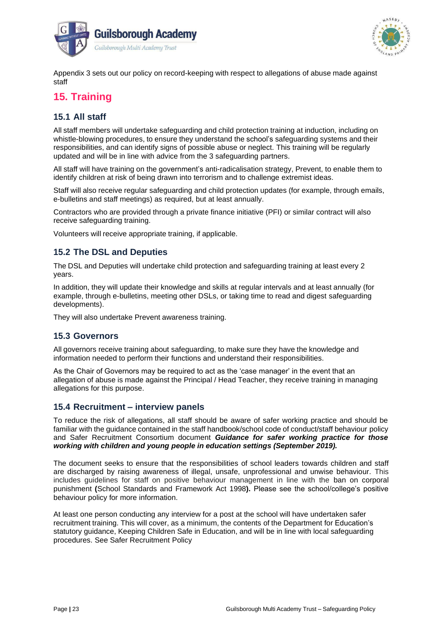



Appendix 3 sets out our policy on record-keeping with respect to allegations of abuse made against staff

# <span id="page-22-0"></span>**15. Training**

# **15.1 All staff**

All staff members will undertake safeguarding and child protection training at induction, including on whistle-blowing procedures, to ensure they understand the school's safeguarding systems and their responsibilities, and can identify signs of possible abuse or neglect. This training will be regularly updated and will be in line with advice from the 3 safeguarding partners.

All staff will have training on the government's anti-radicalisation strategy, Prevent, to enable them to identify children at risk of being drawn into terrorism and to challenge extremist ideas.

Staff will also receive regular safeguarding and child protection updates (for example, through emails, e-bulletins and staff meetings) as required, but at least annually.

Contractors who are provided through a private finance initiative (PFI) or similar contract will also receive safeguarding training.

Volunteers will receive appropriate training, if applicable.

# **15.2 The DSL and Deputies**

The DSL and Deputies will undertake child protection and safeguarding training at least every 2 years.

In addition, they will update their knowledge and skills at regular intervals and at least annually (for example, through e-bulletins, meeting other DSLs, or taking time to read and digest safeguarding developments).

They will also undertake Prevent awareness training.

### **15.3 Governors**

All governors receive training about safeguarding, to make sure they have the knowledge and information needed to perform their functions and understand their responsibilities.

As the Chair of Governors may be required to act as the 'case manager' in the event that an allegation of abuse is made against the Principal / Head Teacher, they receive training in managing allegations for this purpose.

### **15.4 Recruitment – interview panels**

To reduce the risk of allegations, all staff should be aware of safer working practice and should be familiar with the guidance contained in the staff handbook/school code of conduct/staff behaviour policy and Safer Recruitment Consortium document *Guidance for safer working practice for those working with children and young people in education settings (September 2019).*

The document seeks to ensure that the responsibilities of school leaders towards children and staff are discharged by raising awareness of illegal, unsafe, unprofessional and unwise behaviour. This includes guidelines for staff on positive behaviour management in line with the ban on corporal punishment **(**School Standards and Framework Act 1998**).** Please see the school/college's positive behaviour policy for more information.

At least one person conducting any interview for a post at the school will have undertaken safer recruitment training. This will cover, as a minimum, the contents of the Department for Education's statutory guidance, Keeping Children Safe in Education, and will be in line with local safeguarding procedures. See Safer Recruitment Policy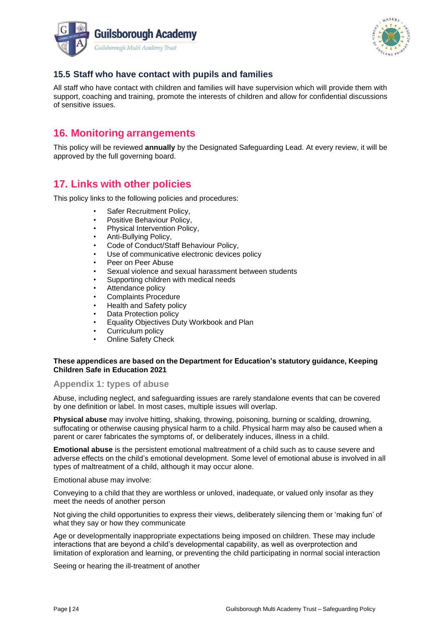



# **15.5 Staff who have contact with pupils and families**

All staff who have contact with children and families will have supervision which will provide them with support, coaching and training, promote the interests of children and allow for confidential discussions of sensitive issues.

# <span id="page-23-0"></span>**16. Monitoring arrangements**

This policy will be reviewed **annually** by the Designated Safeguarding Lead. At every review, it will be approved by the full governing board.

# <span id="page-23-1"></span>**17. Links with other policies**

This policy links to the following policies and procedures:

- Safer Recruitment Policy,
- Positive Behaviour Policy,
- Physical Intervention Policy,
- Anti-Bullying Policy,
- Code of Conduct/Staff Behaviour Policy,
- Use of communicative electronic devices policy
- Peer on Peer Abuse
- Sexual violence and sexual harassment between students
- Supporting children with medical needs
- Attendance policy
- Complaints Procedure
- Health and Safety policy
- Data Protection policy
- Equality Objectives Duty Workbook and Plan
- Curriculum policy
- Online Safety Check

#### **These appendices are based on the Department for Education's statutory guidance, Keeping Children Safe in Education 2021**

#### <span id="page-23-2"></span>**Appendix 1: types of abuse**

Abuse, including neglect, and safeguarding issues are rarely standalone events that can be covered by one definition or label. In most cases, multiple issues will overlap.

**Physical abuse** may involve hitting, shaking, throwing, poisoning, burning or scalding, drowning, suffocating or otherwise causing physical harm to a child. Physical harm may also be caused when a parent or carer fabricates the symptoms of, or deliberately induces, illness in a child.

**Emotional abuse** is the persistent emotional maltreatment of a child such as to cause severe and adverse effects on the child's emotional development. Some level of emotional abuse is involved in all types of maltreatment of a child, although it may occur alone.

Emotional abuse may involve:

Conveying to a child that they are worthless or unloved, inadequate, or valued only insofar as they meet the needs of another person

Not giving the child opportunities to express their views, deliberately silencing them or 'making fun' of what they say or how they communicate

Age or developmentally inappropriate expectations being imposed on children. These may include interactions that are beyond a child's developmental capability, as well as overprotection and limitation of exploration and learning, or preventing the child participating in normal social interaction

Seeing or hearing the ill-treatment of another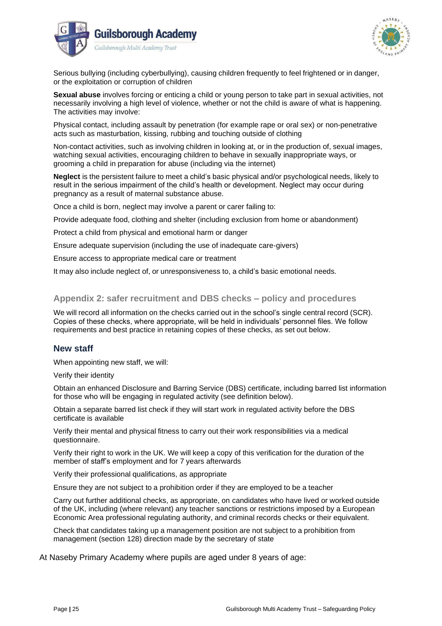



Serious bullying (including cyberbullying), causing children frequently to feel frightened or in danger, or the exploitation or corruption of children

**Sexual abuse** involves forcing or enticing a child or young person to take part in sexual activities, not necessarily involving a high level of violence, whether or not the child is aware of what is happening. The activities may involve:

Physical contact, including assault by penetration (for example rape or oral sex) or non-penetrative acts such as masturbation, kissing, rubbing and touching outside of clothing

Non-contact activities, such as involving children in looking at, or in the production of, sexual images, watching sexual activities, encouraging children to behave in sexually inappropriate ways, or grooming a child in preparation for abuse (including via the internet)

**Neglect** is the persistent failure to meet a child's basic physical and/or psychological needs, likely to result in the serious impairment of the child's health or development. Neglect may occur during pregnancy as a result of maternal substance abuse.

Once a child is born, neglect may involve a parent or carer failing to:

Provide adequate food, clothing and shelter (including exclusion from home or abandonment)

Protect a child from physical and emotional harm or danger

Ensure adequate supervision (including the use of inadequate care-givers)

Ensure access to appropriate medical care or treatment

It may also include neglect of, or unresponsiveness to, a child's basic emotional needs.

#### <span id="page-24-0"></span>**Appendix 2: safer recruitment and DBS checks – policy and procedures**

We will record all information on the checks carried out in the school's single central record (SCR). Copies of these checks, where appropriate, will be held in individuals' personnel files. We follow requirements and best practice in retaining copies of these checks, as set out below.

### **New staff**

When appointing new staff, we will:

Verify their identity

Obtain an enhanced Disclosure and Barring Service (DBS) certificate, including barred list information for those who will be engaging in regulated activity (see definition below).

Obtain a separate barred list check if they will start work in regulated activity before the DBS certificate is available

Verify their mental and physical fitness to carry out their work responsibilities via a medical questionnaire.

Verify their right to work in the UK. We will keep a copy of this verification for the duration of the member of staff's employment and for 7 years afterwards

Verify their professional qualifications, as appropriate

Ensure they are not subject to a prohibition order if they are employed to be a teacher

Carry out further additional checks, as appropriate, on candidates who have lived or worked outside of the UK, including (where relevant) any teacher sanctions or restrictions imposed by a European Economic Area professional regulating authority, and criminal records checks or their equivalent.

Check that candidates taking up a management position are not subject to a prohibition from management (section 128) direction made by the secretary of state

At Naseby Primary Academy where pupils are aged under 8 years of age: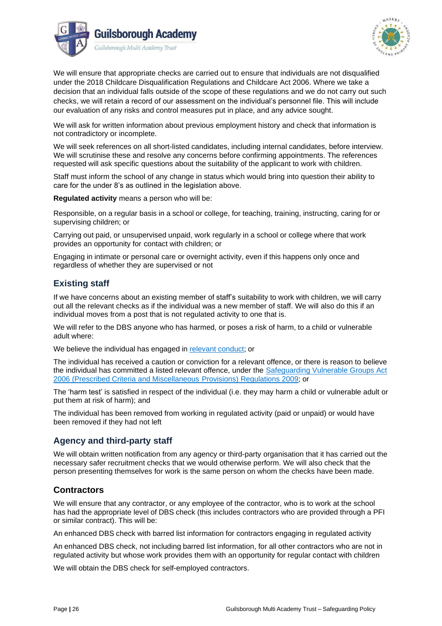



We will ensure that appropriate checks are carried out to ensure that individuals are not disqualified under the 2018 Childcare Disqualification Regulations and Childcare Act 2006. Where we take a decision that an individual falls outside of the scope of these regulations and we do not carry out such checks, we will retain a record of our assessment on the individual's personnel file. This will include our evaluation of any risks and control measures put in place, and any advice sought.

We will ask for written information about previous employment history and check that information is not contradictory or incomplete.

We will seek references on all short-listed candidates, including internal candidates, before interview. We will scrutinise these and resolve any concerns before confirming appointments. The references requested will ask specific questions about the suitability of the applicant to work with children.

Staff must inform the school of any change in status which would bring into question their ability to care for the under 8's as outlined in the legislation above.

**Regulated activity** means a person who will be:

Responsible, on a regular basis in a school or college, for teaching, training, instructing, caring for or supervising children; or

Carrying out paid, or unsupervised unpaid, work regularly in a school or college where that work provides an opportunity for contact with children; or

Engaging in intimate or personal care or overnight activity, even if this happens only once and regardless of whether they are supervised or not

# **Existing staff**

If we have concerns about an existing member of staff's suitability to work with children, we will carry out all the relevant checks as if the individual was a new member of staff. We will also do this if an individual moves from a post that is not regulated activity to one that is.

We will refer to the DBS anyone who has harmed, or poses a risk of harm, to a child or vulnerable adult where:

We believe the individual has engaged in relevant [conduct;](https://www.gov.uk/guidance/making-barring-referrals-to-the-dbs#relevant-conduct-in-relation-to-children) or

The individual has received a caution or conviction for a relevant offence, or there is reason to believe the individual has committed a listed relevant offence, under the [Safeguarding Vulnerable Groups Act](https://www.gov.uk/report-child-abuse-to-local-council) 2006 (Prescribed Criteria and Miscellaneous Provisions) [Regulations 2009; o](https://assets.publishing.service.gov.uk/government/uploads/system/uploads/attachment_data/file/609874/6_2939_SP_NCA_Sexting_In_Schools_FINAL_Update_Jan17.pdf)r

The 'harm test' is satisfied in respect of the individual (i.e. they may harm a child or vulnerable adult or put them at risk of harm); and

The individual has been removed from working in regulated activity (paid or unpaid) or would have been removed if they had not left

### **Agency and third-party staff**

We will obtain written notification from any agency or third-party organisation that it has carried out the necessary safer recruitment checks that we would otherwise perform. We will also check that the person presenting themselves for work is the same person on whom the checks have been made.

# **Contractors**

We will ensure that any contractor, or any employee of the contractor, who is to work at the school has had the appropriate level of DBS check (this includes contractors who are provided through a PFI or similar contract). This will be:

An enhanced DBS check with barred list information for contractors engaging in regulated activity

An enhanced DBS check, not including barred list information, for all other contractors who are not in regulated activity but whose work provides them with an opportunity for regular contact with children

We will obtain the DBS check for self-employed contractors.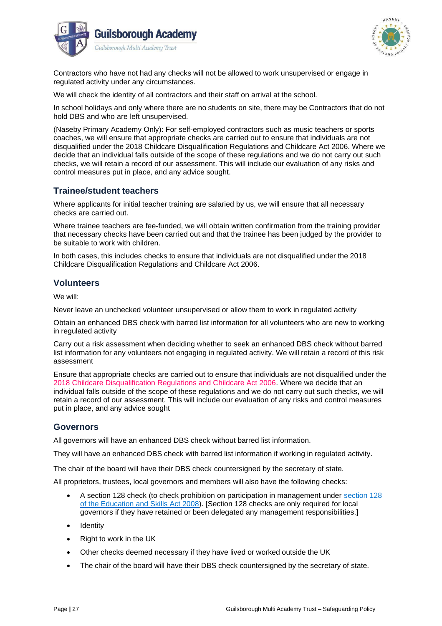



Contractors who have not had any checks will not be allowed to work unsupervised or engage in regulated activity under any circumstances.

We will check the identity of all contractors and their staff on arrival at the school.

In school holidays and only where there are no students on site, there may be Contractors that do not hold DBS and who are left unsupervised.

(Naseby Primary Academy Only): For self-employed contractors such as music teachers or sports coaches, we will ensure that appropriate checks are carried out to ensure that individuals are not disqualified under the 2018 Childcare Disqualification Regulations and Childcare Act 2006. Where we decide that an individual falls outside of the scope of these regulations and we do not carry out such checks, we will retain a record of our assessment. This will include our evaluation of any risks and control measures put in place, and any advice sought.

# **Trainee/student teachers**

Where applicants for initial teacher training are salaried by us, we will ensure that all necessary checks are carried out.

Where trainee teachers are fee-funded, we will obtain written confirmation from the training provider that necessary checks have been carried out and that the trainee has been judged by the provider to be suitable to work with children.

In both cases, this includes checks to ensure that individuals are not disqualified under the 2018 Childcare Disqualification Regulations and Childcare Act 2006.

### **Volunteers**

We will:

Never leave an unchecked volunteer unsupervised or allow them to work in regulated activity

Obtain an enhanced DBS check with barred list information for all volunteers who are new to working in regulated activity

Carry out a risk assessment when deciding whether to seek an enhanced DBS check without barred list information for any volunteers not engaging in regulated activity. We will retain a record of this risk assessment

Ensure that appropriate checks are carried out to ensure that individuals are not disqualified under the 2018 Childcare Disqualification Regulations and Childcare Act 2006. Where we decide that an individual falls outside of the scope of these regulations and we do not carry out such checks, we will retain a record of our assessment. This will include our evaluation of any risks and control measures put in place, and any advice sought

#### **Governors**

All governors will have an enhanced DBS check without barred list information.

They will have an enhanced DBS check with barred list information if working in regulated activity.

The chair of the board will have their DBS check countersigned by the secretary of state.

All proprietors, trustees, local governors and members will also have the following checks:

- A section 128 check (to check prohibition on participation in management under [section 128](https://www.gov.uk/government/publications/keeping-children-safe-in-education--2) [of the Education and Skills Act 2008\)](https://www.gov.uk/government/publications/multi-agency-statutory-guidance-on-female-genital-mutilation). [Section 128 checks are only required for local governors if they have retained or been delegated any management responsibilities.]
- **Identity**
- Right to work in the UK
- Other checks deemed necessary if they have lived or worked outside the UK
- The chair of the board will have their DBS check countersigned by the secretary of state.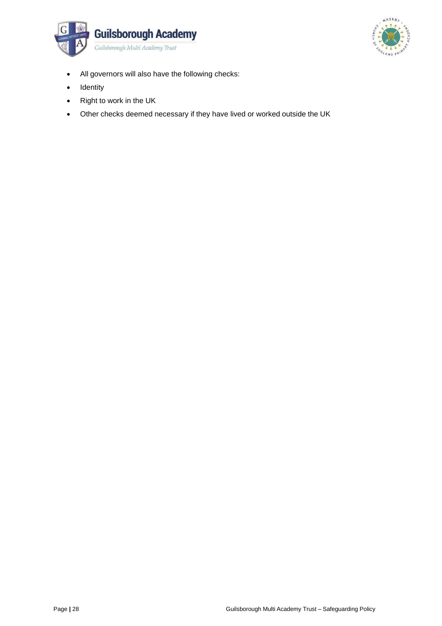



- All governors will also have the following checks:
- Identity
- Right to work in the UK
- Other checks deemed necessary if they have lived or worked outside the UK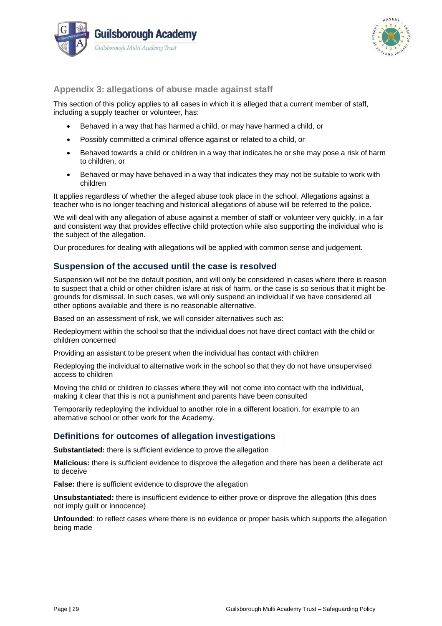



<span id="page-28-0"></span>**Appendix 3: allegations of abuse made against staff**

This section of this policy applies to all cases in which it is alleged that a current member of staff, including a supply teacher or volunteer, has:

- Behaved in a way that has harmed a child, or may have harmed a child, or
- Possibly committed a criminal offence against or related to a child, or
- Behaved towards a child or children in a way that indicates he or she may pose a risk of harm to children, or
- Behaved or may have behaved in a way that indicates they may not be suitable to work with children

It applies regardless of whether the alleged abuse took place in the school. Allegations against a teacher who is no longer teaching and historical allegations of abuse will be referred to the police.

We will deal with any allegation of abuse against a member of staff or volunteer very quickly, in a fair and consistent way that provides effective child protection while also supporting the individual who is the subject of the allegation.

Our procedures for dealing with allegations will be applied with common sense and judgement.

# **Suspension of the accused until the case is resolved**

Suspension will not be the default position, and will only be considered in cases where there is reason to suspect that a child or other children is/are at risk of harm, or the case is so serious that it might be grounds for dismissal. In such cases, we will only suspend an individual if we have considered all other options available and there is no reasonable alternative.

Based on an assessment of risk, we will consider alternatives such as:

Redeployment within the school so that the individual does not have direct contact with the child or children concerned

Providing an assistant to be present when the individual has contact with children

Redeploying the individual to alternative work in the school so that they do not have unsupervised access to children

Moving the child or children to classes where they will not come into contact with the individual, making it clear that this is not a punishment and parents have been consulted

Temporarily redeploying the individual to another role in a different location, for example to an alternative school or other work for the Academy.

### **Definitions for outcomes of allegation investigations**

**Substantiated:** there is sufficient evidence to prove the allegation

**Malicious:** there is sufficient evidence to disprove the allegation and there has been a deliberate act to deceive

**False:** there is sufficient evidence to disprove the allegation

**Unsubstantiated:** there is insufficient evidence to either prove or disprove the allegation (this does not imply guilt or innocence)

**Unfounded**: to reflect cases where there is no evidence or proper basis which supports the allegation being made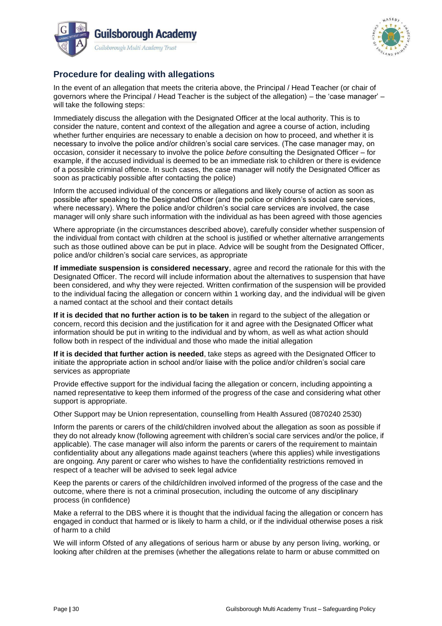



# **Procedure for dealing with allegations**

In the event of an allegation that meets the criteria above, the Principal / Head Teacher (or chair of governors where the Principal / Head Teacher is the subject of the allegation) – the 'case manager' – will take the following steps:

Immediately discuss the allegation with the Designated Officer at the local authority. This is to consider the nature, content and context of the allegation and agree a course of action, including whether further enquiries are necessary to enable a decision on how to proceed, and whether it is necessary to involve the police and/or children's social care services. (The case manager may, on occasion, consider it necessary to involve the police *before* consulting the Designated Officer – for example, if the accused individual is deemed to be an immediate risk to children or there is evidence of a possible criminal offence. In such cases, the case manager will notify the Designated Officer as soon as practicably possible after contacting the police)

Inform the accused individual of the concerns or allegations and likely course of action as soon as possible after speaking to the Designated Officer (and the police or children's social care services, where necessary). Where the police and/or children's social care services are involved, the case manager will only share such information with the individual as has been agreed with those agencies

Where appropriate (in the circumstances described above), carefully consider whether suspension of the individual from contact with children at the school is justified or whether alternative arrangements such as those outlined above can be put in place. Advice will be sought from the Designated Officer, police and/or children's social care services, as appropriate

**If immediate suspension is considered necessary**, agree and record the rationale for this with the Designated Officer. The record will include information about the alternatives to suspension that have been considered, and why they were rejected. Written confirmation of the suspension will be provided to the individual facing the allegation or concern within 1 working day, and the individual will be given a named contact at the school and their contact details

**If it is decided that no further action is to be taken** in regard to the subject of the allegation or concern, record this decision and the justification for it and agree with the Designated Officer what information should be put in writing to the individual and by whom, as well as what action should follow both in respect of the individual and those who made the initial allegation

**If it is decided that further action is needed**, take steps as agreed with the Designated Officer to initiate the appropriate action in school and/or liaise with the police and/or children's social care services as appropriate

Provide effective support for the individual facing the allegation or concern, including appointing a named representative to keep them informed of the progress of the case and considering what other support is appropriate.

Other Support may be Union representation, counselling from Health Assured (0870240 2530)

Inform the parents or carers of the child/children involved about the allegation as soon as possible if they do not already know (following agreement with children's social care services and/or the police, if applicable). The case manager will also inform the parents or carers of the requirement to maintain confidentiality about any allegations made against teachers (where this applies) while investigations are ongoing. Any parent or carer who wishes to have the confidentiality restrictions removed in respect of a teacher will be advised to seek legal advice

Keep the parents or carers of the child/children involved informed of the progress of the case and the outcome, where there is not a criminal prosecution, including the outcome of any disciplinary process (in confidence)

Make a referral to the DBS where it is thought that the individual facing the allegation or concern has engaged in conduct that harmed or is likely to harm a child, or if the individual otherwise poses a risk of harm to a child

We will inform Ofsted of any allegations of serious harm or abuse by any person living, working, or looking after children at the premises (whether the allegations relate to harm or abuse committed on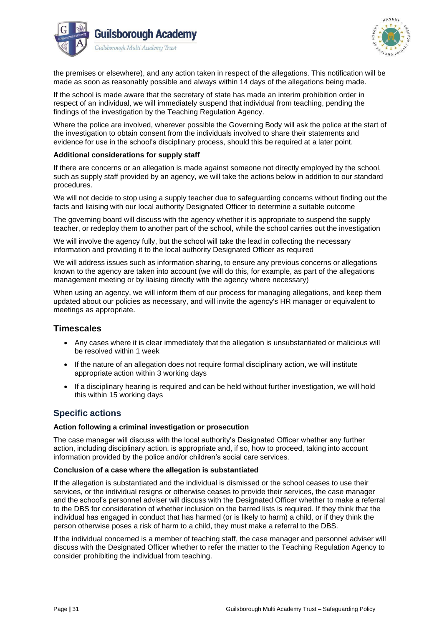



the premises or elsewhere), and any action taken in respect of the allegations. This notification will be made as soon as reasonably possible and always within 14 days of the allegations being made.

If the school is made aware that the secretary of state has made an interim prohibition order in respect of an individual, we will immediately suspend that individual from teaching, pending the findings of the investigation by the Teaching Regulation Agency.

Where the police are involved, wherever possible the Governing Body will ask the police at the start of the investigation to obtain consent from the individuals involved to share their statements and evidence for use in the school's disciplinary process, should this be required at a later point.

#### **Additional considerations for supply staff**

If there are concerns or an allegation is made against someone not directly employed by the school, such as supply staff provided by an agency, we will take the actions below in addition to our standard procedures.

We will not decide to stop using a supply teacher due to safeguarding concerns without finding out the facts and liaising with our local authority Designated Officer to determine a suitable outcome

The governing board will discuss with the agency whether it is appropriate to suspend the supply teacher, or redeploy them to another part of the school, while the school carries out the investigation

We will involve the agency fully, but the school will take the lead in collecting the necessary information and providing it to the local authority Designated Officer as required

We will address issues such as information sharing, to ensure any previous concerns or allegations known to the agency are taken into account (we will do this, for example, as part of the allegations management meeting or by liaising directly with the agency where necessary)

When using an agency, we will inform them of our process for managing allegations, and keep them updated about our policies as necessary, and will invite the agency's HR manager or equivalent to meetings as appropriate.

### **Timescales**

- Any cases where it is clear immediately that the allegation is unsubstantiated or malicious will be resolved within 1 week
- If the nature of an allegation does not require formal disciplinary action, we will institute appropriate action within 3 working days
- If a disciplinary hearing is required and can be held without further investigation, we will hold this within 15 working days

### **Specific actions**

#### **Action following a criminal investigation or prosecution**

The case manager will discuss with the local authority's Designated Officer whether any further action, including disciplinary action, is appropriate and, if so, how to proceed, taking into account information provided by the police and/or children's social care services.

#### **Conclusion of a case where the allegation is substantiated**

If the allegation is substantiated and the individual is dismissed or the school ceases to use their services, or the individual resigns or otherwise ceases to provide their services, the case manager and the school's personnel adviser will discuss with the Designated Officer whether to make a referral to the DBS for consideration of whether inclusion on the barred lists is required. If they think that the individual has engaged in conduct that has harmed (or is likely to harm) a child, or if they think the person otherwise poses a risk of harm to a child, they must make a referral to the DBS.

If the individual concerned is a member of teaching staff, the case manager and personnel adviser will discuss with the Designated Officer whether to refer the matter to the Teaching Regulation Agency to consider prohibiting the individual from teaching.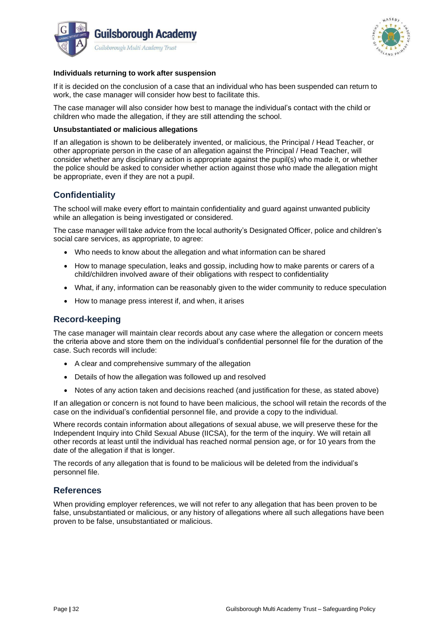



#### **Individuals returning to work after suspension**

If it is decided on the conclusion of a case that an individual who has been suspended can return to work, the case manager will consider how best to facilitate this.

The case manager will also consider how best to manage the individual's contact with the child or children who made the allegation, if they are still attending the school.

#### **Unsubstantiated or malicious allegations**

If an allegation is shown to be deliberately invented, or malicious, the Principal / Head Teacher, or other appropriate person in the case of an allegation against the Principal / Head Teacher, will consider whether any disciplinary action is appropriate against the pupil(s) who made it, or whether the police should be asked to consider whether action against those who made the allegation might be appropriate, even if they are not a pupil.

# **Confidentiality**

The school will make every effort to maintain confidentiality and guard against unwanted publicity while an allegation is being investigated or considered.

The case manager will take advice from the local authority's Designated Officer, police and children's social care services, as appropriate, to agree:

- Who needs to know about the allegation and what information can be shared
- How to manage speculation, leaks and gossip, including how to make parents or carers of a child/children involved aware of their obligations with respect to confidentiality
- What, if any, information can be reasonably given to the wider community to reduce speculation
- How to manage press interest if, and when, it arises

# **Record-keeping**

The case manager will maintain clear records about any case where the allegation or concern meets the criteria above and store them on the individual's confidential personnel file for the duration of the case. Such records will include:

- A clear and comprehensive summary of the allegation
- Details of how the allegation was followed up and resolved
- Notes of any action taken and decisions reached (and justification for these, as stated above)

If an allegation or concern is not found to have been malicious, the school will retain the records of the case on the individual's confidential personnel file, and provide a copy to the individual.

Where records contain information about allegations of sexual abuse, we will preserve these for the Independent Inquiry into Child Sexual Abuse (IICSA), for the term of the inquiry. We will retain all other records at least until the individual has reached normal pension age, or for 10 years from the date of the allegation if that is longer.

The records of any allegation that is found to be malicious will be deleted from the individual's personnel file.

### **References**

When providing employer references, we will not refer to any allegation that has been proven to be false, unsubstantiated or malicious, or any history of allegations where all such allegations have been proven to be false, unsubstantiated or malicious.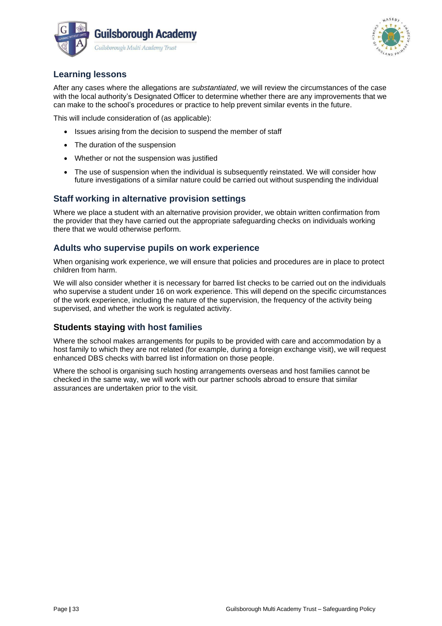



# **Learning lessons**

After any cases where the allegations are *substantiated*, we will review the circumstances of the case with the local authority's Designated Officer to determine whether there are any improvements that we can make to the school's procedures or practice to help prevent similar events in the future.

This will include consideration of (as applicable):

- Issues arising from the decision to suspend the member of staff
- The duration of the suspension
- Whether or not the suspension was justified
- The use of suspension when the individual is subsequently reinstated. We will consider how future investigations of a similar nature could be carried out without suspending the individual

# **Staff working in alternative provision settings**

Where we place a student with an alternative provision provider, we obtain written confirmation from the provider that they have carried out the appropriate safeguarding checks on individuals working there that we would otherwise perform.

### **Adults who supervise pupils on work experience**

When organising work experience, we will ensure that policies and procedures are in place to protect children from harm.

We will also consider whether it is necessary for barred list checks to be carried out on the individuals who supervise a student under 16 on work experience. This will depend on the specific circumstances of the work experience, including the nature of the supervision, the frequency of the activity being supervised, and whether the work is regulated activity.

### **Students staying with host families**

Where the school makes arrangements for pupils to be provided with care and accommodation by a host family to which they are not related (for example, during a foreign exchange visit), we will request enhanced DBS checks with barred list information on those people.

Where the school is organising such hosting arrangements overseas and host families cannot be checked in the same way, we will work with our partner schools abroad to ensure that similar assurances are undertaken prior to the visit.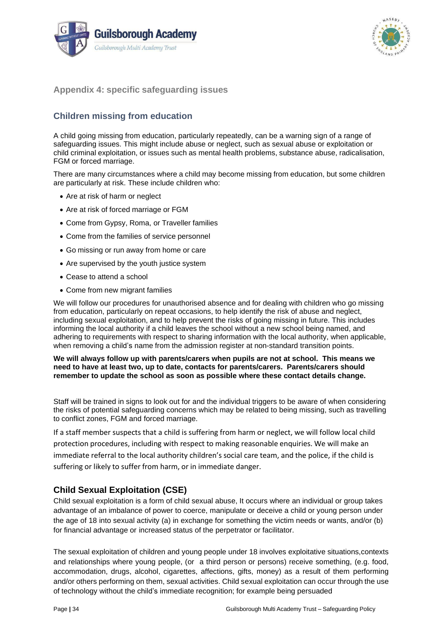



<span id="page-33-0"></span>**Appendix 4: specific safeguarding issues**

# **Children missing from education**

A child going missing from education, particularly repeatedly, can be a warning sign of a range of safeguarding issues. This might include abuse or neglect, such as sexual abuse or exploitation or child criminal exploitation, or issues such as mental health problems, substance abuse, radicalisation, FGM or forced marriage.

There are many circumstances where a child may become missing from education, but some children are particularly at risk. These include children who:

- Are at risk of harm or neglect
- Are at risk of forced marriage or FGM
- Come from Gypsy, Roma, or Traveller families
- Come from the families of service personnel
- Go missing or run away from home or care
- Are supervised by the youth justice system
- Cease to attend a school
- Come from new migrant families

We will follow our procedures for unauthorised absence and for dealing with children who go missing from education, particularly on repeat occasions, to help identify the risk of abuse and neglect, including sexual exploitation, and to help prevent the risks of going missing in future. This includes informing the local authority if a child leaves the school without a new school being named, and adhering to requirements with respect to sharing information with the local authority, when applicable, when removing a child's name from the admission register at non-standard transition points.

#### **We will always follow up with parents/carers when pupils are not at school. This means we need to have at least two, up to date, contacts for parents/carers. Parents/carers should remember to update the school as soon as possible where these contact details change.**

Staff will be trained in signs to look out for and the individual triggers to be aware of when considering the risks of potential safeguarding concerns which may be related to being missing, such as travelling to conflict zones, FGM and forced marriage.

If a staff member suspects that a child is suffering from harm or neglect, we will follow local child protection procedures, including with respect to making reasonable enquiries. We will make an immediate referral to the local authority children's social care team, and the police, if the child is suffering or likely to suffer from harm, or in immediate danger.

# **Child Sexual Exploitation (CSE)**

Child sexual exploitation is a form of child sexual abuse, It occurs where an individual or group takes advantage of an imbalance of power to coerce, manipulate or deceive a child or young person under the age of 18 into sexual activity (a) in exchange for something the victim needs or wants, and/or (b) for financial advantage or increased status of the perpetrator or facilitator.

The sexual exploitation of children and young people under 18 involves exploitative situations,contexts and relationships where young people, (or a third person or persons) receive something, (e.g. food, accommodation, drugs, alcohol, cigarettes, affections, gifts, money) as a result of them performing and/or others performing on them, sexual activities. Child sexual exploitation can occur through the use of technology without the child's immediate recognition; for example being persuaded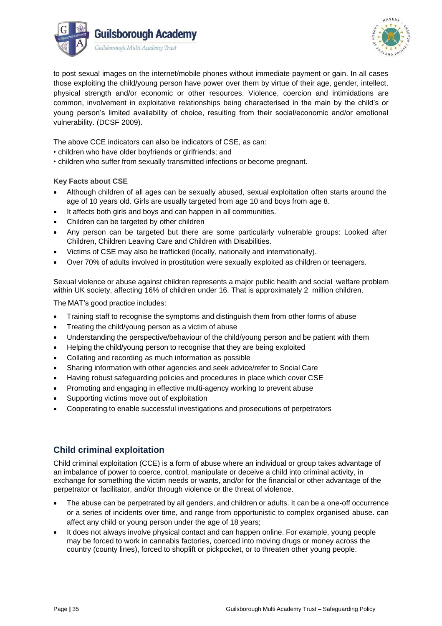



to post sexual images on the internet/mobile phones without immediate payment or gain. In all cases those exploiting the child/young person have power over them by virtue of their age, gender, intellect, physical strength and/or economic or other resources. Violence, coercion and intimidations are common, involvement in exploitative relationships being characterised in the main by the child's or young person's limited availability of choice, resulting from their social/economic and/or emotional vulnerability. (DCSF 2009).

The above CCE indicators can also be indicators of CSE, as can:

- children who have older boyfriends or girlfriends; and
- children who suffer from sexually transmitted infections or become pregnant.

#### **Key Facts about CSE**

- Although children of all ages can be sexually abused, sexual exploitation often starts around the age of 10 years old. Girls are usually targeted from age 10 and boys from age 8.
- It affects both girls and boys and can happen in all communities.
- Children can be targeted by other children
- Any person can be targeted but there are some particularly vulnerable groups: Looked after Children, Children Leaving Care and Children with Disabilities.
- Victims of CSE may also be trafficked (locally, nationally and internationally).
- Over 70% of adults involved in prostitution were sexually exploited as children or teenagers.

Sexual violence or abuse against children represents a major public health and social welfare problem within UK society, affecting 16% of children under 16. That is approximately 2 million children.

The MAT's good practice includes:

- Training staff to recognise the symptoms and distinguish them from other forms of abuse
- Treating the child/young person as a victim of abuse
- Understanding the perspective/behaviour of the child/young person and be patient with them
- Helping the child/young person to recognise that they are being exploited
- Collating and recording as much information as possible
- Sharing information with other agencies and seek advice/refer to Social Care
- Having robust safeguarding policies and procedures in place which cover CSE
- Promoting and engaging in effective multi-agency working to prevent abuse
- Supporting victims move out of exploitation
- Cooperating to enable successful investigations and prosecutions of perpetrators

# **Child criminal exploitation**

Child criminal exploitation (CCE) is a form of abuse where an individual or group takes advantage of an imbalance of power to coerce, control, manipulate or deceive a child into criminal activity, in exchange for something the victim needs or wants, and/or for the financial or other advantage of the perpetrator or facilitator, and/or through violence or the threat of violence.

- The abuse can be perpetrated by all genders, and children or adults. It can be a one-off occurrence or a series of incidents over time, and range from opportunistic to complex organised abuse. can affect any child or young person under the age of 18 years;
- It does not always involve physical contact and can happen online. For example, young people may be forced to work in cannabis factories, coerced into moving drugs or money across the country (county lines), forced to shoplift or pickpocket, or to threaten other young people.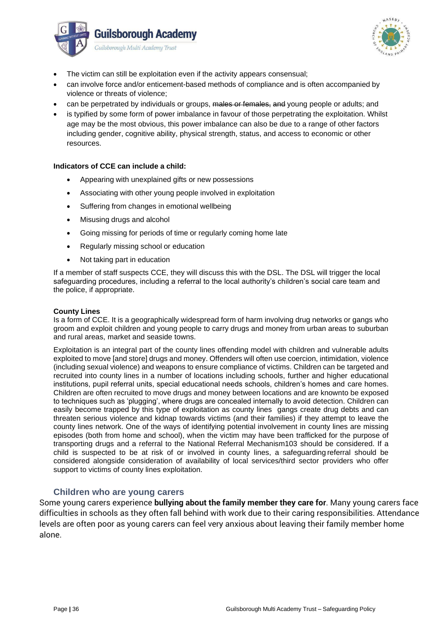



- The victim can still be exploitation even if the activity appears consensual;
- can involve force and/or enticement-based methods of compliance and is often accompanied by violence or threats of violence;
- can be perpetrated by individuals or groups, males or females, and young people or adults; and
- is typified by some form of power imbalance in favour of those perpetrating the exploitation. Whilst age may be the most obvious, this power imbalance can also be due to a range of other factors including gender, cognitive ability, physical strength, status, and access to economic or other resources.

#### **Indicators of CCE can include a child:**

- Appearing with unexplained gifts or new possessions
- Associating with other young people involved in exploitation
- Suffering from changes in emotional wellbeing
- Misusing drugs and alcohol
- Going missing for periods of time or regularly coming home late
- Regularly missing school or education
- Not taking part in education

If a member of staff suspects CCE, they will discuss this with the DSL. The DSL will trigger the local safeguarding procedures, including a referral to the local authority's children's social care team and the police, if appropriate.

#### **County Lines**

Is a form of CCE. It is a geographically widespread form of harm involving drug networks or gangs who groom and exploit children and young people to carry drugs and money from urban areas to suburban and rural areas, market and seaside towns.

Exploitation is an integral part of the county lines offending model with children and vulnerable adults exploited to move [and store] drugs and money. Offenders will often use coercion, intimidation, violence (including sexual violence) and weapons to ensure compliance of victims. Children can be targeted and recruited into county lines in a number of locations including schools, further and higher educational institutions, pupil referral units, special educational needs schools, children's homes and care homes. Children are often recruited to move drugs and money between locations and are knownto be exposed to techniques such as 'plugging', where drugs are concealed internally to avoid detection. Children can easily become trapped by this type of exploitation as county lines gangs create drug debts and can threaten serious violence and kidnap towards victims (and their families) if they attempt to leave the county lines network. One of the ways of identifying potential involvement in county lines are missing episodes (both from home and school), when the victim may have been trafficked for the purpose of transporting drugs and a referral to the National Referral Mechanism103 should be considered. If a child is suspected to be at risk of or involved in county lines, a safeguarding referral should be considered alongside consideration of availability of local services/third sector providers who offer support to victims of county lines exploitation.

#### **Children who are young carers**

Some young carers experience **bullying about the family member they care for**. Many young carers face difficulties in schools as they often fall behind with work due to their caring responsibilities. Attendance levels are often poor as young carers can feel very anxious about leaving their family member home alone.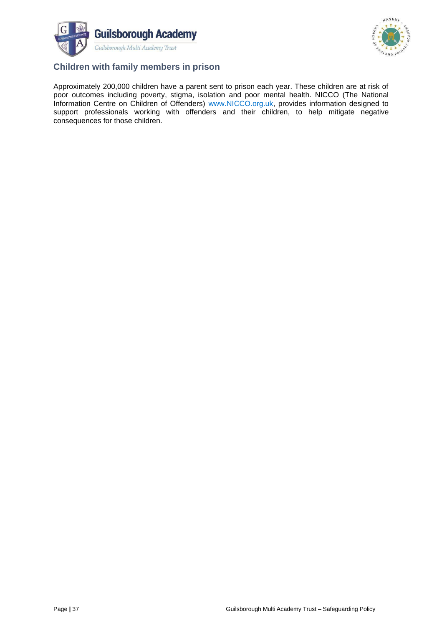



# **Children with family members in prison**

Approximately 200,000 children have a parent sent to prison each year. These children are at risk of poor outcomes including poverty, stigma, isolation and poor mental health. NICCO (The National Information Centre on Children of Offenders) [www.NICCO.org.uk,](http://www.nicco.org.uk/) provides information designed to support professionals working with offenders and their children, to help mitigate negative consequences for those children.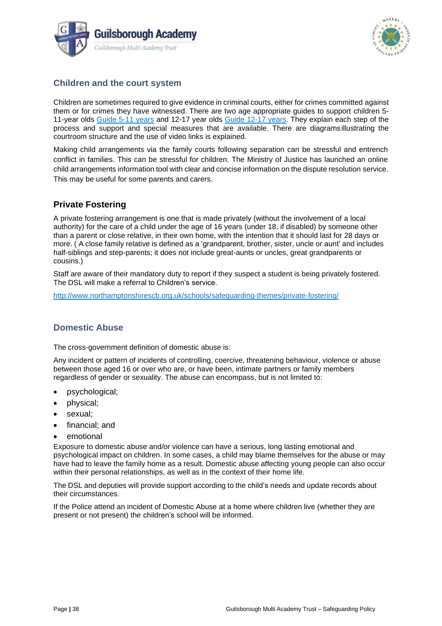



# **Children and the court system**

Children are sometimes required to give evidence in criminal courts, either for crimes committed against them or for crimes they have witnessed. There are two age appropriate guides to support children 5- 11-year olds [Guide 5-11 years](https://www.gov.uk/government/publications/young-witness-booklet-for-5-to-11-year-olds) and 12-17 year olds [Guide 12-17 years. T](http://www.gov.uk/government/publications/advice-to-schools-and-colleges-on-gangs-and-youth-)hey explain each step of the process and support and special measures that are available. There are diagramsillustrating the courtroom structure and the use of video links is explained.

Making child arrangements via the family courts following separation can be stressful and entrench conflict in families. This can be stressful for children. The Ministry of Justice has launched an online child arrangements information tool with clear and concise information on the dispute resolution service. This may be useful for some parents and carers.

# **Private Fostering**

A private fostering arrangement is one that is made privately (without the involvement of a local authority) for the care of a child under the age of 16 years (under 18, if disabled) by someone other than a parent or close relative, in their own home, with the intention that it should last for 28 days or more. ( A close family relative is defined as a 'grandparent, brother, sister, uncle or aunt' and includes half-siblings and step-parents; it does not include great-aunts or uncles, great grandparents or cousins.)

Staff are aware of their mandatory duty to report if they suspect a student is being privately fostered. The DSL will make a referral to Children's service.

[http://www.northamptonshirescb.org.uk/schools/safeguarding-themes/private-fostering/](https://www.gov.uk/government/publications/advice-to-schools-and-colleges-on-gangs-and-youth-violence)

# **Domestic Abuse**

The cross-government definition of domestic abuse is:

Any incident or pattern of incidents of controlling, coercive, threatening behaviour, violence or abuse between those aged 16 or over who are, or have been, intimate partners or family members regardless of gender or sexuality. The abuse can encompass, but is not limited to:

- psychological;
- physical;
- sexual;
- financial; and
- emotional

Exposure to domestic abuse and/or violence can have a serious, long lasting emotional and psychological impact on children. In some cases, a child may blame themselves for the abuse or may have had to leave the family home as a result. Domestic abuse affecting young people can also occur within their personal relationships, as well as in the context of their home life.

The DSL and deputies will provide support according to the child's needs and update records about their circumstances.

If the Police attend an incident of Domestic Abuse at a home where children live (whether they are present or not present) the children's school will be informed.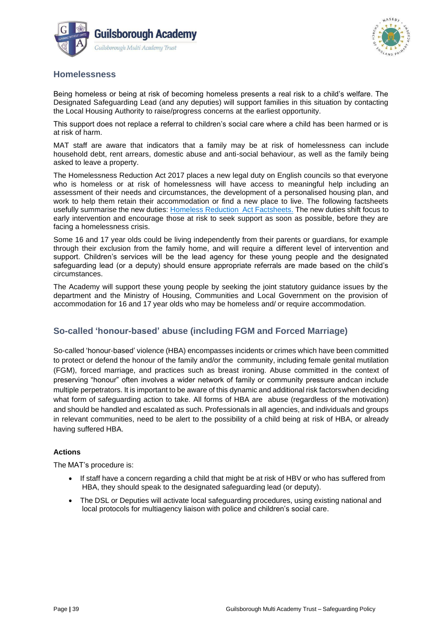



# **Homelessness**

Being homeless or being at risk of becoming homeless presents a real risk to a child's welfare. The Designated Safeguarding Lead (and any deputies) will support families in this situation by contacting the Local Housing Authority to raise/progress concerns at the earliest opportunity.

This support does not replace a referral to children's social care where a child has been harmed or is at risk of harm.

MAT staff are aware that indicators that a family may be at risk of homelessness can include household debt, rent arrears, domestic abuse and anti-social behaviour, as well as the family being asked to leave a property.

The Homelessness Reduction Act 2017 places a new legal duty on English councils so that everyone who is homeless or at risk of homelessness will have access to meaningful help including an assessment of their needs and circumstances, the development of a personalised housing plan, and work to help them retain their accommodation or find a new place to live. The following factsheets usefully summarise the new duties: [Homeless Reduction](https://www3.northamptonshire.gov.uk/councilservices/children-families-education/help-and-protection-for-children/protecting-children-information-for-professionals/Documents/NSCB%20Thresholds%20Guidance%202018.pdf) Act Factsheets. The new duties shift focus to early intervention and encourage those at risk to seek support as soon as possible, before they are facing a homelessness crisis.

Some 16 and 17 year olds could be living independently from their parents or guardians, for example through their exclusion from the family home, and will require a different level of intervention and support. Children's services will be the lead agency for these young people and the designated safeguarding lead (or a deputy) should ensure appropriate referrals are made based on the child's circumstances.

The Academy will support these young people by seeking the joint statutory guidance issues by the department and the Ministry of Housing, Communities and Local Government on the provision of accommodation for 16 and 17 year olds who may be homeless and/ or require accommodation.

# **So-called 'honour-based' abuse (including FGM and Forced Marriage)**

So-called 'honour-based' violence (HBA) encompasses incidents or crimes which have been committed to protect or defend the honour of the family and/or the community, including female genital mutilation (FGM), forced marriage, and practices such as breast ironing. Abuse committed in the context of preserving "honour" often involves a wider network of family or community pressure andcan include multiple perpetrators. It is important to be aware of this dynamic and additional risk factorswhen deciding what form of safeguarding action to take. All forms of HBA are abuse (regardless of the motivation) and should be handled and escalated as such. Professionals in all agencies, and individuals and groups in relevant communities, need to be alert to the possibility of a child being at risk of HBA, or already having suffered HBA.

#### **Actions**

The MAT's procedure is:

- If staff have a concern regarding a child that might be at risk of HBV or who has suffered from HBA, they should speak to the designated safeguarding lead (or deputy).
- The DSL or Deputies will activate local safeguarding procedures, using existing national and local protocols for multiagency liaison with police and children's social care.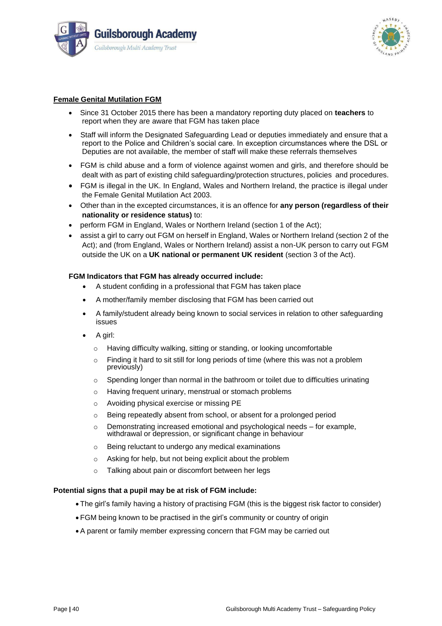



#### **Female Genital Mutilation FGM**

- Since 31 October 2015 there has been a mandatory reporting duty placed on **teachers** to report when they are aware that FGM has taken place
- Staff will inform the Designated Safeguarding Lead or deputies immediately and ensure that a report to the Police and Children's social care. In exception circumstances where the DSL or Deputies are not available, the member of staff will make these referrals themselves
- FGM is child abuse and a form of violence against women and girls, and therefore should be dealt with as part of existing child safeguarding/protection structures, policies and procedures.
- FGM is illegal in the UK. In England, Wales and Northern Ireland, the practice is illegal under the Female Genital Mutilation Act 2003.
- Other than in the excepted circumstances, it is an offence for **any person (regardless of their nationality or residence status)** to:
- perform FGM in England, Wales or Northern Ireland (section 1 of the Act);
- assist a girl to carry out FGM on herself in England, Wales or Northern Ireland (section 2 of the Act); and (from England, Wales or Northern Ireland) assist a non-UK person to carry out FGM outside the UK on a **UK national or permanent UK resident** (section 3 of the Act).

#### **FGM Indicators that FGM has already occurred include:**

- A student confiding in a professional that FGM has taken place
- A mother/family member disclosing that FGM has been carried out
- A family/student already being known to social services in relation to other safeguarding issues
- A girl:
	- o Having difficulty walking, sitting or standing, or looking uncomfortable
	- o Finding it hard to sit still for long periods of time (where this was not a problem previously)
	- o Spending longer than normal in the bathroom or toilet due to difficulties urinating
	- o Having frequent urinary, menstrual or stomach problems
	- o Avoiding physical exercise or missing PE
	- o Being repeatedly absent from school, or absent for a prolonged period
	- o Demonstrating increased emotional and psychological needs for example, withdrawal or depression, or significant change in behaviour
	- o Being reluctant to undergo any medical examinations
	- o Asking for help, but not being explicit about the problem
	- o Talking about pain or discomfort between her legs

#### **Potential signs that a pupil may be at risk of FGM include:**

- The girl's family having a history of practising FGM (this is the biggest risk factor to consider)
- FGM being known to be practised in the girl's community or country of origin
- A parent or family member expressing concern that FGM may be carried out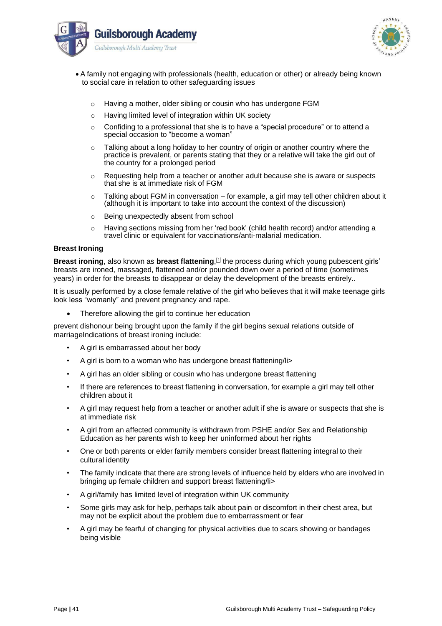



- A family not engaging with professionals (health, education or other) or already being known to social care in relation to other safeguarding issues
	- o Having a mother, older sibling or cousin who has undergone FGM
	- o Having limited level of integration within UK society
	- $\circ$  Confiding to a professional that she is to have a "special procedure" or to attend a special occasion to "become a woman"
	- $\circ$  Talking about a long holiday to her country of origin or another country where the practice is prevalent, or parents stating that they or a relative will take the girl out of the country for a prolonged period
	- o Requesting help from a teacher or another adult because she is aware or suspects that she is at immediate risk of FGM
	- o Talking about FGM in conversation for example, a girl may tell other children about it (although it is important to take into account the context of the discussion)
	- o Being unexpectedly absent from school
	- o Having sections missing from her 'red book' (child health record) and/or attending a travel clinic or equivalent for vaccinations/anti-malarial medication.

#### **Breast Ironing**

**Breast ironing**, also known as **breast flattening**[,](https://en.wikipedia.org/wiki/Breast_ironing#cite_note-tapscott-1) [\[1\]](https://en.wikipedia.org/wiki/Breast_ironing#cite_note-tapscott-1) the process during which young pubescent girls' breasts are ironed, massaged, flattened and/or pounded down over a period of time (sometimes years) in order for the breasts to disappear or delay the development of the breasts entirely..

It is usually performed by a close female relative of the girl who believes that it will make teenage girls look less "womanly" and prevent pregnancy and rape.

Therefore allowing the girl to continue her education

prevent dishonour being brought upon the family if the girl begins sexual relations outside of marriageIndications of breast ironing include:

- A girl is embarrassed about her body
- A girl is born to a woman who has undergone breast flattening/li>
- A girl has an older sibling or cousin who has undergone breast flattening
- If there are references to breast flattening in conversation, for example a girl may tell other children about it
- A girl may request help from a teacher or another adult if she is aware or suspects that she is at immediate risk
- A girl from an affected community is withdrawn from PSHE and/or Sex and Relationship Education as her parents wish to keep her uninformed about her rights
- One or both parents or elder family members consider breast flattening integral to their cultural identity
- The family indicate that there are strong levels of influence held by elders who are involved in bringing up female children and support breast flattening/li>
- A girl/family has limited level of integration within UK community
- Some girls may ask for help, perhaps talk about pain or discomfort in their chest area, but may not be explicit about the problem due to embarrassment or fear
- A girl may be fearful of changing for physical activities due to scars showing or bandages being visible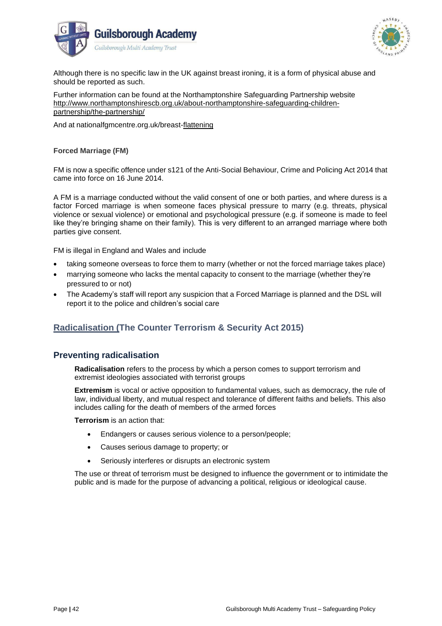



Although there is no specific law in the UK against breast ironing, it is a form of physical abuse and should be reported as such.

Further information can be found at the Northamptonshire Safeguarding Partnership website [http://www.northamptonshirescb.org.uk/about-northamptonshire-safeguarding-children](http://www.northamptonshirescb.org.uk/more/borough-and-district-councils/how-to-make-an-online-referral/)[partnership/the-partnership/](http://www.legislation.gov.uk/ukpga/2015/9/part/5/crossheading/female-genital-mutilation)

And at nationalfgmcentre.org.uk/breast-flattening

**Forced Marriage (FM)**

FM is now a specific offence under s121 of the Anti-Social Behaviour, Crime and Policing Act 2014 that came into force on 16 June 2014.

A FM is a marriage conducted without the valid consent of one or both parties, and where duress is a factor Forced marriage is when someone faces physical pressure to marry (e.g. threats, physical violence or sexual violence) or emotional and psychological pressure (e.g. if someone is made to feel like they're bringing shame on their family). This is very different to an arranged marriage where both parties give consent.

FM is illegal in England and Wales and include

- taking someone overseas to force them to marry (whether or not the forced marriage takes place)
- marrying someone who lacks the mental capacity to consent to the marriage (whether they're pressured to or not)
- The Academy's staff will report any suspicion that a Forced Marriage is planned and the DSL will report it to the police and children's social care

# **Radicalisation (The Counter Terrorism & Security Act 2015)**

### **Preventing radicalisation**

**Radicalisation** refers to the process by which a person comes to support terrorism and extremist ideologies associated with terrorist groups

**Extremism** is vocal or active opposition to fundamental values, such as democracy, the rule of law, individual liberty, and mutual respect and tolerance of different faiths and beliefs. This also includes calling for the death of members of the armed forces

**Terrorism** is an action that:

- Endangers or causes serious violence to a person/people;
- Causes serious damage to property; or
- Seriously interferes or disrupts an electronic system

The use or threat of terrorism must be designed to influence the government or to intimidate the public and is made for the purpose of advancing a political, religious or ideological cause.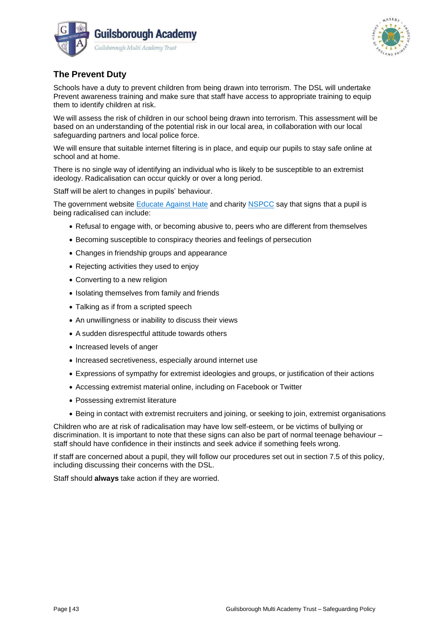



# **The Prevent Duty**

Schools have a duty to prevent children from being drawn into terrorism. The DSL will undertake Prevent awareness training and make sure that staff have access to appropriate training to equip them to identify children at risk.

We will assess the risk of children in our school being drawn into terrorism. This assessment will be based on an understanding of the potential risk in our local area, in collaboration with our local safeguarding partners and local police force.

We will ensure that suitable internet filtering is in place, and equip our pupils to stay safe online at school and at home.

There is no single way of identifying an individual who is likely to be susceptible to an extremist ideology. Radicalisation can occur quickly or over a long period.

Staff will be alert to changes in pupils' behaviour.

The government website [Educate](https://www.net-aware.org.uk/) Against Hate and charity [NSPCC](https://www.nspcc.org.uk/what-you-can-do/report-abuse/dedicated-helplines/protecting-children-from-radicalisation/) say that signs that a pupil is being radicalised can include:

- Refusal to engage with, or becoming abusive to, peers who are different from themselves
- Becoming susceptible to conspiracy theories and feelings of persecution
- Changes in friendship groups and appearance
- Rejecting activities they used to enjoy
- Converting to a new religion
- Isolating themselves from family and friends
- Talking as if from a scripted speech
- An unwillingness or inability to discuss their views
- A sudden disrespectful attitude towards others
- Increased levels of anger
- Increased secretiveness, especially around internet use
- Expressions of sympathy for extremist ideologies and groups, or justification of their actions
- Accessing extremist material online, including on Facebook or Twitter
- Possessing extremist literature
- Being in contact with extremist recruiters and joining, or seeking to join, extremist organisations

Children who are at risk of radicalisation may have low self-esteem, or be victims of bullying or discrimination. It is important to note that these signs can also be part of normal teenage behaviour – staff should have confidence in their instincts and seek advice if something feels wrong.

If staff are concerned about a pupil, they will follow our procedures set out in section 7.5 of this policy, including discussing their concerns with the DSL.

Staff should **always** take action if they are worried.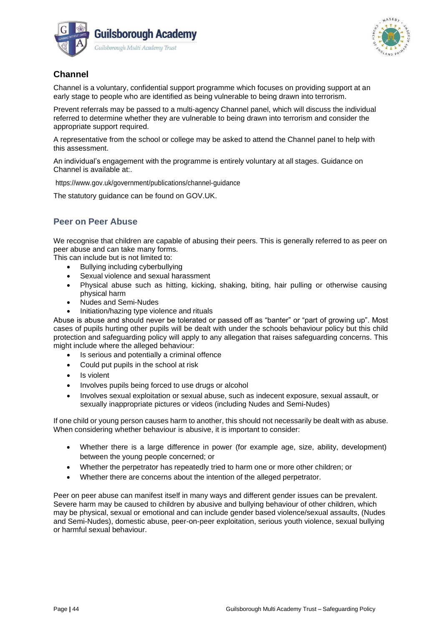



# **Channel**

Channel is a voluntary, confidential support programme which focuses on providing support at an early stage to people who are identified as being vulnerable to being drawn into terrorism.

Prevent referrals may be passed to a multi-agency Channel panel, which will discuss the individual referred to determine whether they are vulnerable to being drawn into terrorism and consider the appropriate support required.

A representative from the school or college may be asked to attend the Channel panel to help with this assessment.

An individual's engagement with the programme is entirely voluntary at all stages. Guidance on Channel is available at:.

http[s://www.go](http://www.gov.uk/government/publications/channel-guidance)[v.uk/gov](https://reportharmfulcontent.com/)[ernment/publications/channel-guidance](http://www.northamptonshirescb.org.uk/about-northamptonshire-safeguarding-children-partnership/policies/case-conflict-resolution-protocol/)

The statutory guidance can be found on GOV.UK.

# **Peer on Peer Abuse**

We recognise that children are capable of abusing their peers. This is generally referred to as peer on peer abuse and can take many forms.

This can include but is not limited to:

- Bullying including cyberbullying
- Sexual violence and sexual harassment
- Physical abuse such as hitting, kicking, shaking, biting, hair pulling or otherwise causing physical harm
- Nudes and Semi-Nudes
- Initiation/hazing type violence and rituals

Abuse is abuse and should never be tolerated or passed off as "banter" or "part of growing up". Most cases of pupils hurting other pupils will be dealt with under the schools behaviour policy but this child protection and safeguarding policy will apply to any allegation that raises safeguarding concerns. This might include where the alleged behaviour:

- Is serious and potentially a criminal offence
- Could put pupils in the school at risk
- Is violent
- Involves pupils being forced to use drugs or alcohol
- Involves sexual exploitation or sexual abuse, such as indecent exposure, sexual assault, or sexually inappropriate pictures or videos (including Nudes and Semi-Nudes)

If one child or young person causes harm to another, this should not necessarily be dealt with as abuse. When considering whether behaviour is abusive, it is important to consider:

- Whether there is a large difference in power (for example age, size, ability, development) between the young people concerned; or
- Whether the perpetrator has repeatedly tried to harm one or more other children; or
- Whether there are concerns about the intention of the alleged perpetrator.

Peer on peer abuse can manifest itself in many ways and different gender issues can be prevalent. Severe harm may be caused to children by abusive and bullying behaviour of other children, which may be physical, sexual or emotional and can include gender based violence/sexual assaults, (Nudes and Semi-Nudes), domestic abuse, peer-on-peer exploitation, serious youth violence, sexual bullying or harmful sexual behaviour.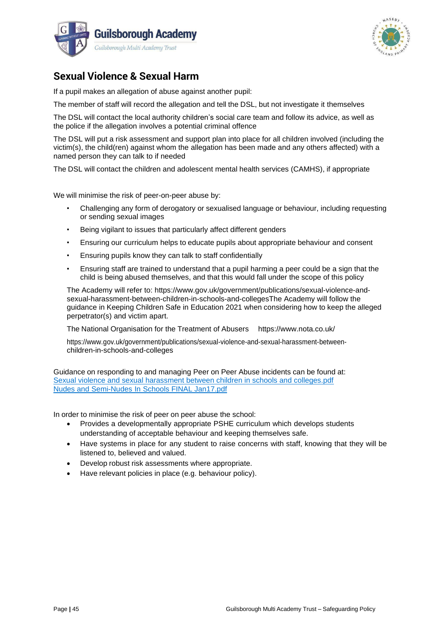



# **Sexual Violence & Sexual Harm**

If a pupil makes an allegation of abuse against another pupil:

The member of staff will record the allegation and tell the DSL, but not investigate it themselves

The DSL will contact the local authority children's social care team and follow its advice, as well as the police if the allegation involves a potential criminal offence

The DSL will put a risk assessment and support plan into place for all children involved (including the victim(s), the child(ren) against whom the allegation has been made and any others affected) with a named person they can talk to if needed

The DSL will contact the children and adolescent mental health services (CAMHS), if appropriate

We will minimise the risk of peer-on-peer abuse by:

- Challenging any form of derogatory or sexualised language or behaviour, including requesting or sending sexual images
- Being vigilant to issues that particularly affect different genders
- Ensuring our curriculum helps to educate pupils about appropriate behaviour and consent
- Ensuring pupils know they can talk to staff confidentially
- Ensuring staff are trained to understand that a pupil harming a peer could be a sign that the child is being abused themselves, and that this would fall under the scope of this policy

The Academy will refer to: http[s://www.go](http://www.northamptonshirescb.org.uk/about-northamptonshire-safeguarding-children-partnership/policies/case-conflict-resolution-protocol/)[v.uk/go](https://www.internetmatters.org/)[vernment/publications/sexual-violence-and](http://www.gov.uk/government/publications/sexual-violence-and-)sexual-harassment-between-children-in-schools-and-collegesThe Academy will follow the guidance in Keeping Children Safe in Education 2021 when considering how to keep the alleged perpetrator(s) and victim apart.

The National Organisation for the Treatment of Abusers https:/[/www.nota.co.uk/](https://www.saferinternet.org.uk/advice-centre/parents-and-carers)

http[s://www.go](mailto:scheltsj@nasebyacademy.com)[v.uk/go](https://www.legislation.gov.uk/ukpga/2008/25/section/128)[vernment/publications/sexual-violence-and-sexual-harassment-between](https://www.gov.uk/government/publications/designated-teacher-for-looked-after-children)children-in-schools-and-colleges

Guidance on responding to and managing Peer on Peer Abuse incidents can be found at: [Sexual violence and sexual harassment between children in schools and colleges.pdf](mailto:head@naseby-ce.northants-ecl.gov.uk) Nudes and Semi-Nudes In [Schools FINAL Jan17.pdf](https://www.legislation.gov.uk/ukpga/2008/25/section/128)

In order to minimise the risk of peer on peer abuse the school:

- Provides a developmentally appropriate PSHE curriculum which develops students understanding of acceptable behaviour and keeping themselves safe.
- Have systems in place for any student to raise concerns with staff, knowing that they will be listened to, believed and valued.
- Develop robust risk assessments where appropriate.
- Have relevant policies in place (e.g. behaviour policy).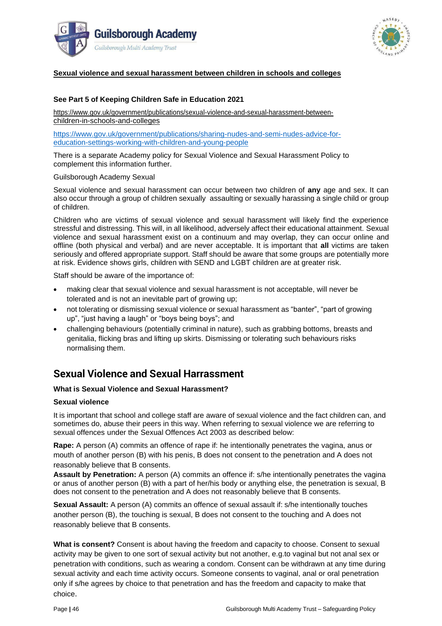



#### **Sexual violence and sexual harassment between children in schools and colleges**

#### **See Part 5 of Keeping Children Safe in Education 2021**

[https://www.gov.uk/government/publications/sexual-violence-and-sexual-harassment-between](https://www.gov.uk/government/publications/sexual-violence-and-sexual-harassment-between-children-in-schools-and-colleges)[children-in-schools-and-colleges](https://www.gov.uk/government/publications/sexual-violence-and-sexual-harassment-between-children-in-schools-and-colleges)

[https://www.gov.uk/government/publications/sharing-nudes-and-semi-nudes-advice-for](https://www.gov.uk/government/publications/early-years-foundation-stage-framework--2)[education-settings-working-with-children-and-young-people](https://www.gov.uk/government/publications/early-years-foundation-stage-framework--2)

There is a separate Academy policy for Sexual Violence and Sexual Harassment Policy to complement this information further.

#### Guilsborough Academy Sexual

Sexual violence and sexual harassment can occur between two children of **any** age and sex. It can also occur through a group of children sexually assaulting or sexually harassing a single child or group of children.

Children who are victims of sexual violence and sexual harassment will likely find the experience stressful and distressing. This will, in all likelihood, adversely affect their educational attainment. Sexual violence and sexual harassment exist on a continuum and may overlap, they can occur online and offline (both physical and verbal) and are never acceptable. It is important that **all** victims are taken seriously and offered appropriate support. Staff should be aware that some groups are potentially more at risk. Evidence shows girls, children with SEND and LGBT children are at greater risk.

Staff should be aware of the importance of:

- making clear that sexual violence and sexual harassment is not acceptable, will never be tolerated and is not an inevitable part of growing up;
- not tolerating or dismissing sexual violence or sexual harassment as "banter", "part of growing up", "just having a laugh" or "boys being boys"; and
- challenging behaviours (potentially criminal in nature), such as grabbing bottoms, breasts and genitalia, flicking bras and lifting up skirts. Dismissing or tolerating such behaviours risks normalising them.

# **Sexual Violence and Sexual Harrassment**

#### **What is Sexual Violence and Sexual Harassment?**

#### **Sexual violence**

It is important that school and college staff are aware of sexual violence and the fact children can, and sometimes do, abuse their peers in this way. When referring to sexual violence we are referring to sexual offences under the Sexual Offences Act 2003 as described below:

**Rape:** A person (A) commits an offence of rape if: he intentionally penetrates the vagina, anus or mouth of another person (B) with his penis, B does not consent to the penetration and A does not reasonably believe that B consents.

**Assault by Penetration:** A person (A) commits an offence if: s/he intentionally penetrates the vagina or anus of another person (B) with a part of her/his body or anything else, the penetration is sexual, B does not consent to the penetration and A does not reasonably believe that B consents.

**Sexual Assault:** A person (A) commits an offence of sexual assault if: s/he intentionally touches another person (B), the touching is sexual, B does not consent to the touching and A does not reasonably believe that B consents.

**What is consent?** Consent is about having the freedom and capacity to choose. Consent to sexual activity may be given to one sort of sexual activity but not another, e.g.to vaginal but not anal sex or penetration with conditions, such as wearing a condom. Consent can be withdrawn at any time during sexual activity and each time activity occurs. Someone consents to vaginal, anal or oral penetration only if s/he agrees by choice to that penetration and has the freedom and capacity to make that choice.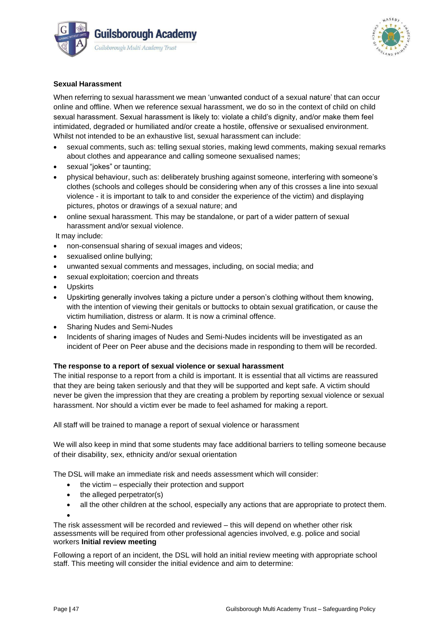



#### **Sexual Harassment**

When referring to sexual harassment we mean 'unwanted conduct of a sexual nature' that can occur online and offline. When we reference sexual harassment, we do so in the context of child on child sexual harassment. Sexual harassment is likely to: violate a child's dignity, and/or make them feel intimidated, degraded or humiliated and/or create a hostile, offensive or sexualised environment. Whilst not intended to be an exhaustive list, sexual harassment can include:

- sexual comments, such as: telling sexual stories, making lewd comments, making sexual remarks about clothes and appearance and calling someone sexualised names;
- sexual "jokes" or taunting;
- physical behaviour, such as: deliberately brushing against someone, interfering with someone's clothes (schools and colleges should be considering when any of this crosses a line into sexual violence - it is important to talk to and consider the experience of the victim) and displaying pictures, photos or drawings of a sexual nature; and
- online sexual harassment. This may be standalone, or part of a wider pattern of sexual harassment and/or sexual violence.

It may include:

- non-consensual sharing of sexual images and videos;
- sexualised online bullying;
- unwanted sexual comments and messages, including, on social media; and
- sexual exploitation; coercion and threats
- **Upskirts**
- Upskirting generally involves taking a picture under a person's clothing without them knowing, with the intention of viewing their genitals or buttocks to obtain sexual gratification, or cause the victim humiliation, distress or alarm. It is now a criminal offence.
- Sharing Nudes and Semi-Nudes
- Incidents of sharing images of Nudes and Semi-Nudes incidents will be investigated as an incident of Peer on Peer abuse and the decisions made in responding to them will be recorded.

#### **The response to a report of sexual violence or sexual harassment**

The initial response to a report from a child is important. It is essential that all victims are reassured that they are being taken seriously and that they will be supported and kept safe. A victim should never be given the impression that they are creating a problem by reporting sexual violence or sexual harassment. Nor should a victim ever be made to feel ashamed for making a report.

All staff will be trained to manage a report of sexual violence or harassment

We will also keep in mind that some students may face additional barriers to telling someone because of their disability, sex, ethnicity and/or sexual orientation

The DSL will make an immediate risk and needs assessment which will consider:

- the victim especially their protection and support
- the alleged perpetrator(s)
- all the other children at the school, especially any actions that are appropriate to protect them.
- •

The risk assessment will be recorded and reviewed – this will depend on whether other risk assessments will be required from other professional agencies involved, e.g. police and social workers **Initial review meeting**

Following a report of an incident, the DSL will hold an initial review meeting with appropriate school staff. This meeting will consider the initial evidence and aim to determine: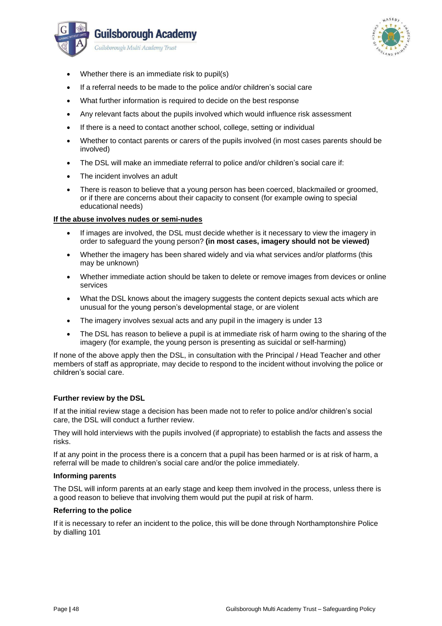



- Whether there is an immediate risk to pupil(s)
- If a referral needs to be made to the police and/or children's social care
- What further information is required to decide on the best response
- Any relevant facts about the pupils involved which would influence risk assessment
- If there is a need to contact another school, college, setting or individual
- Whether to contact parents or carers of the pupils involved (in most cases parents should be involved)
- The DSL will make an immediate referral to police and/or children's social care if:
- The incident involves an adult
- There is reason to believe that a young person has been coerced, blackmailed or groomed, or if there are concerns about their capacity to consent (for example owing to special educational needs)

#### **If the abuse involves nudes or semi-nudes**

- If images are involved, the DSL must decide whether is it necessary to view the imagery in order to safeguard the young person? **(in most cases, imagery should not be viewed)**
- Whether the imagery has been shared widely and via what services and/or platforms (this may be unknown)
- Whether immediate action should be taken to delete or remove images from devices or online services
- What the DSL knows about the imagery suggests the content depicts sexual acts which are unusual for the young person's developmental stage, or are violent
- The imagery involves sexual acts and any pupil in the imagery is under 13
- The DSL has reason to believe a pupil is at immediate risk of harm owing to the sharing of the imagery (for example, the young person is presenting as suicidal or self-harming)

If none of the above apply then the DSL, in consultation with the Principal / Head Teacher and other members of staff as appropriate, may decide to respond to the incident without involving the police or children's social care.

#### **Further review by the DSL**

If at the initial review stage a decision has been made not to refer to police and/or children's social care, the DSL will conduct a further review.

They will hold interviews with the pupils involved (if appropriate) to establish the facts and assess the risks.

If at any point in the process there is a concern that a pupil has been harmed or is at risk of harm, a referral will be made to children's social care and/or the police immediately.

#### **Informing parents**

The DSL will inform parents at an early stage and keep them involved in the process, unless there is a good reason to believe that involving them would put the pupil at risk of harm.

#### **Referring to the police**

If it is necessary to refer an incident to the police, this will be done through Northamptonshire Police by dialling 101